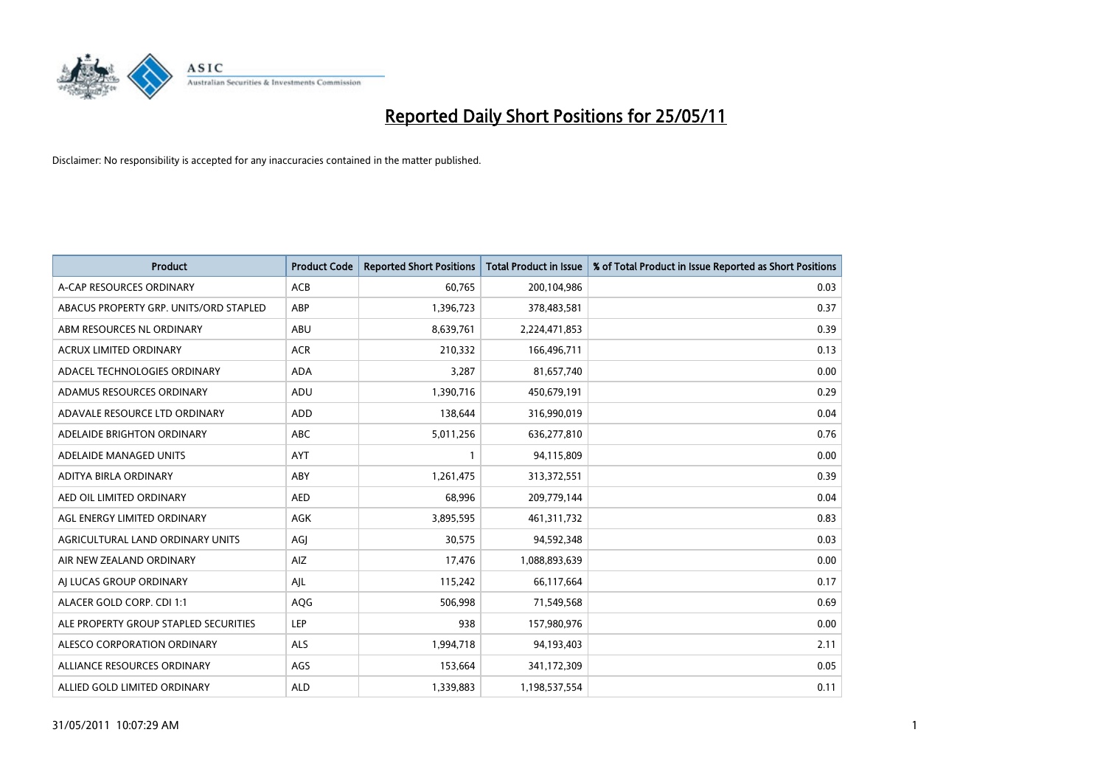

| <b>Product</b>                         | <b>Product Code</b> | <b>Reported Short Positions</b> | <b>Total Product in Issue</b> | % of Total Product in Issue Reported as Short Positions |
|----------------------------------------|---------------------|---------------------------------|-------------------------------|---------------------------------------------------------|
| A-CAP RESOURCES ORDINARY               | ACB                 | 60,765                          | 200,104,986                   | 0.03                                                    |
| ABACUS PROPERTY GRP. UNITS/ORD STAPLED | ABP                 | 1,396,723                       | 378,483,581                   | 0.37                                                    |
| ABM RESOURCES NL ORDINARY              | ABU                 | 8,639,761                       | 2,224,471,853                 | 0.39                                                    |
| ACRUX LIMITED ORDINARY                 | <b>ACR</b>          | 210,332                         | 166,496,711                   | 0.13                                                    |
| ADACEL TECHNOLOGIES ORDINARY           | <b>ADA</b>          | 3,287                           | 81,657,740                    | 0.00                                                    |
| ADAMUS RESOURCES ORDINARY              | ADU                 | 1,390,716                       | 450,679,191                   | 0.29                                                    |
| ADAVALE RESOURCE LTD ORDINARY          | <b>ADD</b>          | 138.644                         | 316,990,019                   | 0.04                                                    |
| ADELAIDE BRIGHTON ORDINARY             | <b>ABC</b>          | 5,011,256                       | 636,277,810                   | 0.76                                                    |
| ADELAIDE MANAGED UNITS                 | <b>AYT</b>          |                                 | 94,115,809                    | 0.00                                                    |
| ADITYA BIRLA ORDINARY                  | ABY                 | 1,261,475                       | 313,372,551                   | 0.39                                                    |
| AED OIL LIMITED ORDINARY               | <b>AED</b>          | 68,996                          | 209,779,144                   | 0.04                                                    |
| AGL ENERGY LIMITED ORDINARY            | <b>AGK</b>          | 3,895,595                       | 461,311,732                   | 0.83                                                    |
| AGRICULTURAL LAND ORDINARY UNITS       | AGJ                 | 30,575                          | 94,592,348                    | 0.03                                                    |
| AIR NEW ZEALAND ORDINARY               | AIZ                 | 17,476                          | 1,088,893,639                 | 0.00                                                    |
| AI LUCAS GROUP ORDINARY                | AJL                 | 115,242                         | 66,117,664                    | 0.17                                                    |
| ALACER GOLD CORP. CDI 1:1              | AQG                 | 506,998                         | 71,549,568                    | 0.69                                                    |
| ALE PROPERTY GROUP STAPLED SECURITIES  | LEP                 | 938                             | 157,980,976                   | 0.00                                                    |
| ALESCO CORPORATION ORDINARY            | <b>ALS</b>          | 1,994,718                       | 94,193,403                    | 2.11                                                    |
| ALLIANCE RESOURCES ORDINARY            | AGS                 | 153,664                         | 341,172,309                   | 0.05                                                    |
| ALLIED GOLD LIMITED ORDINARY           | <b>ALD</b>          | 1,339,883                       | 1,198,537,554                 | 0.11                                                    |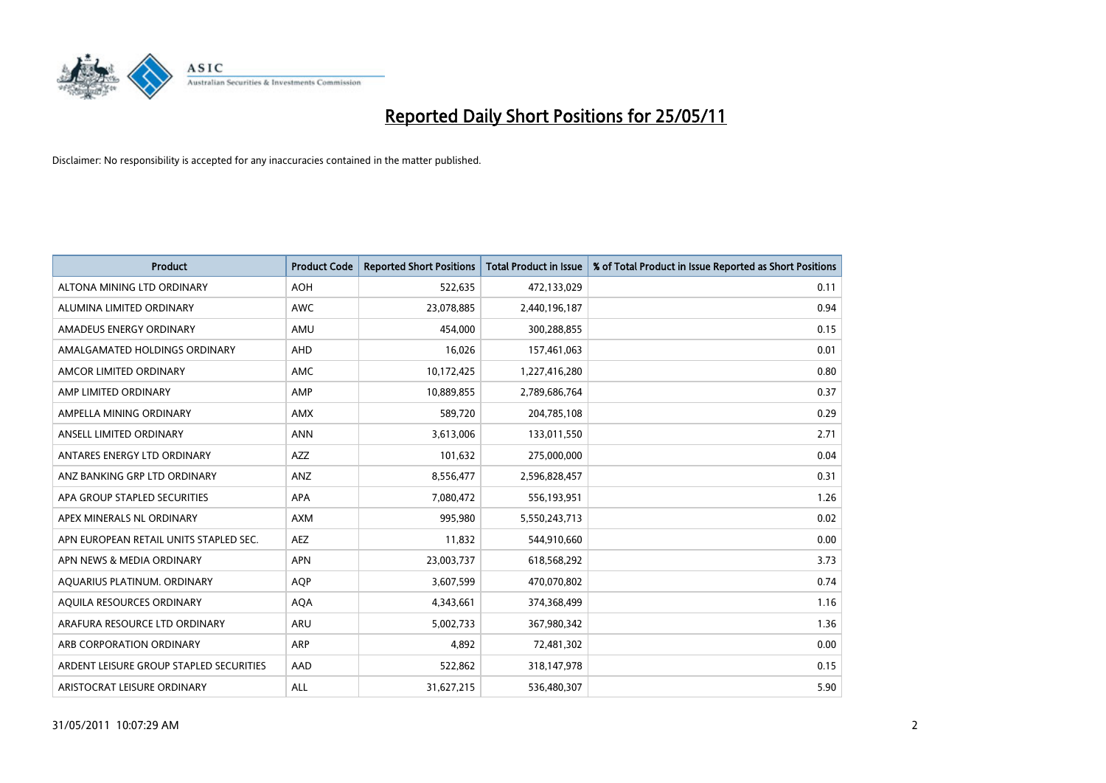

| <b>Product</b>                          | <b>Product Code</b> | <b>Reported Short Positions</b> | <b>Total Product in Issue</b> | % of Total Product in Issue Reported as Short Positions |
|-----------------------------------------|---------------------|---------------------------------|-------------------------------|---------------------------------------------------------|
| ALTONA MINING LTD ORDINARY              | <b>AOH</b>          | 522,635                         | 472,133,029                   | 0.11                                                    |
| ALUMINA LIMITED ORDINARY                | <b>AWC</b>          | 23,078,885                      | 2,440,196,187                 | 0.94                                                    |
| AMADEUS ENERGY ORDINARY                 | AMU                 | 454.000                         | 300,288,855                   | 0.15                                                    |
| AMALGAMATED HOLDINGS ORDINARY           | AHD                 | 16,026                          | 157,461,063                   | 0.01                                                    |
| AMCOR LIMITED ORDINARY                  | <b>AMC</b>          | 10,172,425                      | 1,227,416,280                 | 0.80                                                    |
| AMP LIMITED ORDINARY                    | AMP                 | 10,889,855                      | 2,789,686,764                 | 0.37                                                    |
| AMPELLA MINING ORDINARY                 | <b>AMX</b>          | 589.720                         | 204,785,108                   | 0.29                                                    |
| ANSELL LIMITED ORDINARY                 | <b>ANN</b>          | 3,613,006                       | 133,011,550                   | 2.71                                                    |
| ANTARES ENERGY LTD ORDINARY             | <b>AZZ</b>          | 101,632                         | 275,000,000                   | 0.04                                                    |
| ANZ BANKING GRP LTD ORDINARY            | ANZ                 | 8,556,477                       | 2,596,828,457                 | 0.31                                                    |
| APA GROUP STAPLED SECURITIES            | <b>APA</b>          | 7,080,472                       | 556,193,951                   | 1.26                                                    |
| APEX MINERALS NL ORDINARY               | <b>AXM</b>          | 995,980                         | 5,550,243,713                 | 0.02                                                    |
| APN EUROPEAN RETAIL UNITS STAPLED SEC.  | <b>AEZ</b>          | 11.832                          | 544,910,660                   | 0.00                                                    |
| APN NEWS & MEDIA ORDINARY               | <b>APN</b>          | 23,003,737                      | 618,568,292                   | 3.73                                                    |
| AQUARIUS PLATINUM. ORDINARY             | <b>AQP</b>          | 3,607,599                       | 470,070,802                   | 0.74                                                    |
| AQUILA RESOURCES ORDINARY               | <b>AQA</b>          | 4,343,661                       | 374,368,499                   | 1.16                                                    |
| ARAFURA RESOURCE LTD ORDINARY           | ARU                 | 5,002,733                       | 367,980,342                   | 1.36                                                    |
| ARB CORPORATION ORDINARY                | <b>ARP</b>          | 4,892                           | 72,481,302                    | 0.00                                                    |
| ARDENT LEISURE GROUP STAPLED SECURITIES | AAD                 | 522,862                         | 318,147,978                   | 0.15                                                    |
| ARISTOCRAT LEISURE ORDINARY             | <b>ALL</b>          | 31,627,215                      | 536,480,307                   | 5.90                                                    |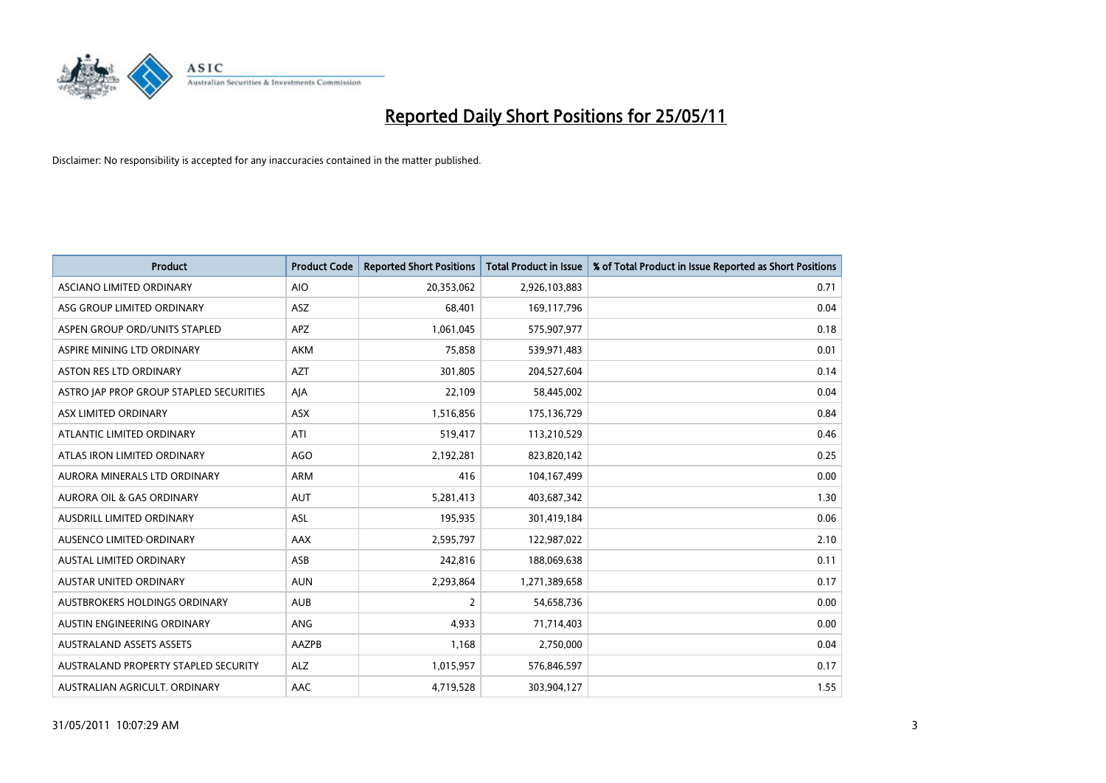

| <b>Product</b>                          | <b>Product Code</b> | <b>Reported Short Positions</b> | <b>Total Product in Issue</b> | % of Total Product in Issue Reported as Short Positions |
|-----------------------------------------|---------------------|---------------------------------|-------------------------------|---------------------------------------------------------|
| ASCIANO LIMITED ORDINARY                | <b>AIO</b>          | 20,353,062                      | 2,926,103,883                 | 0.71                                                    |
| ASG GROUP LIMITED ORDINARY              | <b>ASZ</b>          | 68.401                          | 169,117,796                   | 0.04                                                    |
| ASPEN GROUP ORD/UNITS STAPLED           | <b>APZ</b>          | 1,061,045                       | 575,907,977                   | 0.18                                                    |
| ASPIRE MINING LTD ORDINARY              | <b>AKM</b>          | 75,858                          | 539,971,483                   | 0.01                                                    |
| ASTON RES LTD ORDINARY                  | <b>AZT</b>          | 301,805                         | 204,527,604                   | 0.14                                                    |
| ASTRO JAP PROP GROUP STAPLED SECURITIES | AJA                 | 22,109                          | 58,445,002                    | 0.04                                                    |
| ASX LIMITED ORDINARY                    | <b>ASX</b>          | 1,516,856                       | 175,136,729                   | 0.84                                                    |
| ATLANTIC LIMITED ORDINARY               | ATI                 | 519,417                         | 113,210,529                   | 0.46                                                    |
| ATLAS IRON LIMITED ORDINARY             | <b>AGO</b>          | 2,192,281                       | 823,820,142                   | 0.25                                                    |
| AURORA MINERALS LTD ORDINARY            | <b>ARM</b>          | 416                             | 104,167,499                   | 0.00                                                    |
| AURORA OIL & GAS ORDINARY               | <b>AUT</b>          | 5,281,413                       | 403,687,342                   | 1.30                                                    |
| AUSDRILL LIMITED ORDINARY               | ASL                 | 195,935                         | 301,419,184                   | 0.06                                                    |
| AUSENCO LIMITED ORDINARY                | AAX                 | 2,595,797                       | 122,987,022                   | 2.10                                                    |
| <b>AUSTAL LIMITED ORDINARY</b>          | ASB                 | 242,816                         | 188,069,638                   | 0.11                                                    |
| AUSTAR UNITED ORDINARY                  | <b>AUN</b>          | 2,293,864                       | 1,271,389,658                 | 0.17                                                    |
| AUSTBROKERS HOLDINGS ORDINARY           | <b>AUB</b>          | 2                               | 54,658,736                    | 0.00                                                    |
| AUSTIN ENGINEERING ORDINARY             | <b>ANG</b>          | 4,933                           | 71,714,403                    | 0.00                                                    |
| <b>AUSTRALAND ASSETS ASSETS</b>         | AAZPB               | 1,168                           | 2,750,000                     | 0.04                                                    |
| AUSTRALAND PROPERTY STAPLED SECURITY    | <b>ALZ</b>          | 1,015,957                       | 576,846,597                   | 0.17                                                    |
| AUSTRALIAN AGRICULT. ORDINARY           | AAC                 | 4,719,528                       | 303,904,127                   | 1.55                                                    |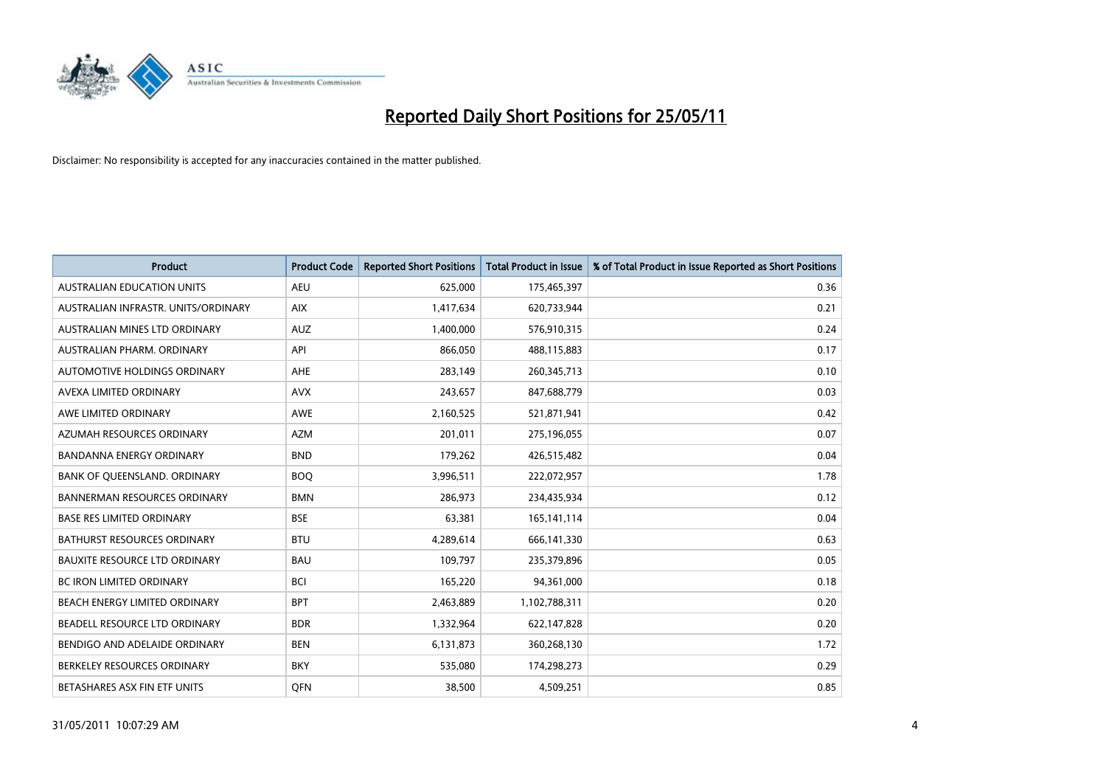

| <b>Product</b>                       | <b>Product Code</b> | <b>Reported Short Positions</b> | <b>Total Product in Issue</b> | % of Total Product in Issue Reported as Short Positions |
|--------------------------------------|---------------------|---------------------------------|-------------------------------|---------------------------------------------------------|
| <b>AUSTRALIAN EDUCATION UNITS</b>    | <b>AEU</b>          | 625.000                         | 175,465,397                   | 0.36                                                    |
| AUSTRALIAN INFRASTR, UNITS/ORDINARY  | <b>AIX</b>          | 1,417,634                       | 620,733,944                   | 0.21                                                    |
| AUSTRALIAN MINES LTD ORDINARY        | <b>AUZ</b>          | 1,400,000                       | 576,910,315                   | 0.24                                                    |
| AUSTRALIAN PHARM. ORDINARY           | API                 | 866,050                         | 488,115,883                   | 0.17                                                    |
| AUTOMOTIVE HOLDINGS ORDINARY         | <b>AHE</b>          | 283,149                         | 260,345,713                   | 0.10                                                    |
| AVEXA LIMITED ORDINARY               | <b>AVX</b>          | 243,657                         | 847,688,779                   | 0.03                                                    |
| AWE LIMITED ORDINARY                 | <b>AWE</b>          | 2,160,525                       | 521,871,941                   | 0.42                                                    |
| AZUMAH RESOURCES ORDINARY            | <b>AZM</b>          | 201,011                         | 275,196,055                   | 0.07                                                    |
| <b>BANDANNA ENERGY ORDINARY</b>      | <b>BND</b>          | 179,262                         | 426,515,482                   | 0.04                                                    |
| BANK OF QUEENSLAND. ORDINARY         | <b>BOO</b>          | 3,996,511                       | 222,072,957                   | 1.78                                                    |
| <b>BANNERMAN RESOURCES ORDINARY</b>  | <b>BMN</b>          | 286.973                         | 234,435,934                   | 0.12                                                    |
| <b>BASE RES LIMITED ORDINARY</b>     | <b>BSE</b>          | 63,381                          | 165,141,114                   | 0.04                                                    |
| <b>BATHURST RESOURCES ORDINARY</b>   | <b>BTU</b>          | 4,289,614                       | 666,141,330                   | 0.63                                                    |
| <b>BAUXITE RESOURCE LTD ORDINARY</b> | <b>BAU</b>          | 109,797                         | 235,379,896                   | 0.05                                                    |
| <b>BC IRON LIMITED ORDINARY</b>      | <b>BCI</b>          | 165,220                         | 94,361,000                    | 0.18                                                    |
| BEACH ENERGY LIMITED ORDINARY        | <b>BPT</b>          | 2,463,889                       | 1,102,788,311                 | 0.20                                                    |
| BEADELL RESOURCE LTD ORDINARY        | <b>BDR</b>          | 1,332,964                       | 622,147,828                   | 0.20                                                    |
| BENDIGO AND ADELAIDE ORDINARY        | <b>BEN</b>          | 6,131,873                       | 360,268,130                   | 1.72                                                    |
| BERKELEY RESOURCES ORDINARY          | <b>BKY</b>          | 535,080                         | 174,298,273                   | 0.29                                                    |
| BETASHARES ASX FIN ETF UNITS         | <b>OFN</b>          | 38,500                          | 4,509,251                     | 0.85                                                    |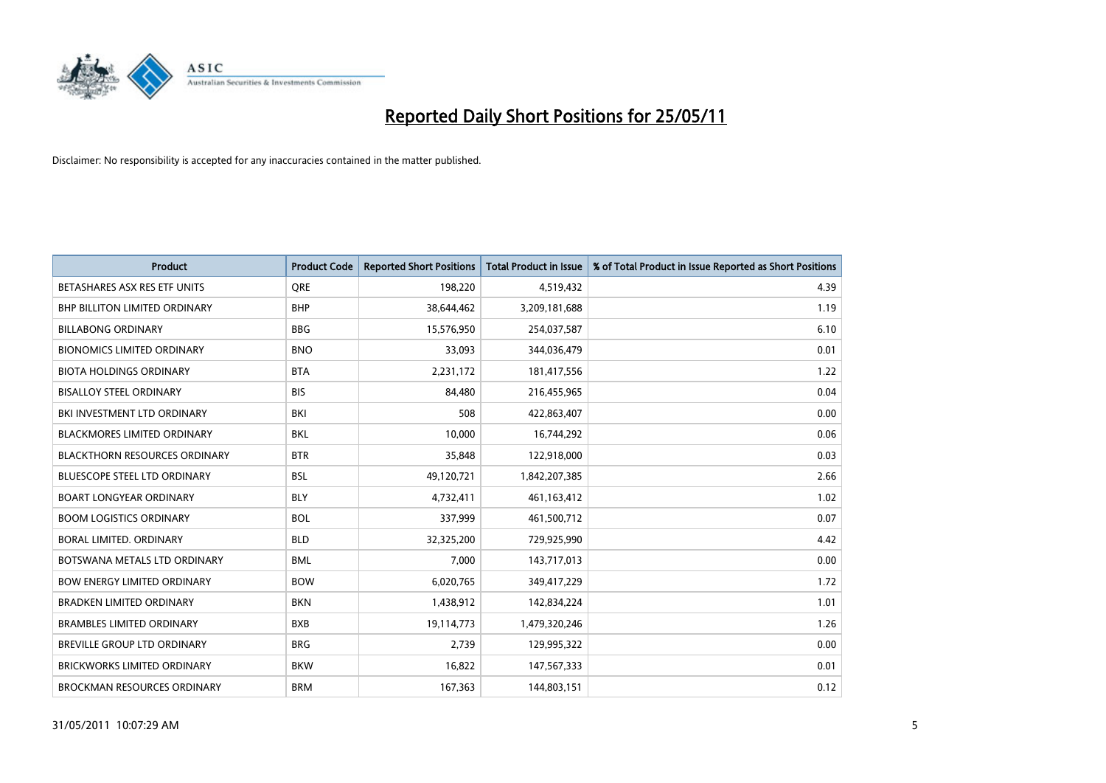

| Product                              | <b>Product Code</b> | <b>Reported Short Positions</b> | <b>Total Product in Issue</b> | % of Total Product in Issue Reported as Short Positions |
|--------------------------------------|---------------------|---------------------------------|-------------------------------|---------------------------------------------------------|
| BETASHARES ASX RES ETF UNITS         | <b>ORE</b>          | 198,220                         | 4,519,432                     | 4.39                                                    |
| BHP BILLITON LIMITED ORDINARY        | <b>BHP</b>          | 38,644,462                      | 3,209,181,688                 | 1.19                                                    |
| <b>BILLABONG ORDINARY</b>            | <b>BBG</b>          | 15,576,950                      | 254,037,587                   | 6.10                                                    |
| <b>BIONOMICS LIMITED ORDINARY</b>    | <b>BNO</b>          | 33,093                          | 344,036,479                   | 0.01                                                    |
| <b>BIOTA HOLDINGS ORDINARY</b>       | <b>BTA</b>          | 2,231,172                       | 181,417,556                   | 1.22                                                    |
| <b>BISALLOY STEEL ORDINARY</b>       | <b>BIS</b>          | 84,480                          | 216,455,965                   | 0.04                                                    |
| BKI INVESTMENT LTD ORDINARY          | <b>BKI</b>          | 508                             | 422,863,407                   | 0.00                                                    |
| <b>BLACKMORES LIMITED ORDINARY</b>   | <b>BKL</b>          | 10,000                          | 16,744,292                    | 0.06                                                    |
| <b>BLACKTHORN RESOURCES ORDINARY</b> | <b>BTR</b>          | 35,848                          | 122,918,000                   | 0.03                                                    |
| <b>BLUESCOPE STEEL LTD ORDINARY</b>  | <b>BSL</b>          | 49,120,721                      | 1,842,207,385                 | 2.66                                                    |
| <b>BOART LONGYEAR ORDINARY</b>       | <b>BLY</b>          | 4,732,411                       | 461,163,412                   | 1.02                                                    |
| <b>BOOM LOGISTICS ORDINARY</b>       | <b>BOL</b>          | 337,999                         | 461,500,712                   | 0.07                                                    |
| <b>BORAL LIMITED, ORDINARY</b>       | <b>BLD</b>          | 32,325,200                      | 729,925,990                   | 4.42                                                    |
| BOTSWANA METALS LTD ORDINARY         | <b>BML</b>          | 7,000                           | 143,717,013                   | 0.00                                                    |
| <b>BOW ENERGY LIMITED ORDINARY</b>   | <b>BOW</b>          | 6,020,765                       | 349,417,229                   | 1.72                                                    |
| BRADKEN LIMITED ORDINARY             | <b>BKN</b>          | 1,438,912                       | 142,834,224                   | 1.01                                                    |
| <b>BRAMBLES LIMITED ORDINARY</b>     | <b>BXB</b>          | 19,114,773                      | 1,479,320,246                 | 1.26                                                    |
| BREVILLE GROUP LTD ORDINARY          | <b>BRG</b>          | 2,739                           | 129,995,322                   | 0.00                                                    |
| <b>BRICKWORKS LIMITED ORDINARY</b>   | <b>BKW</b>          | 16,822                          | 147,567,333                   | 0.01                                                    |
| <b>BROCKMAN RESOURCES ORDINARY</b>   | <b>BRM</b>          | 167,363                         | 144,803,151                   | 0.12                                                    |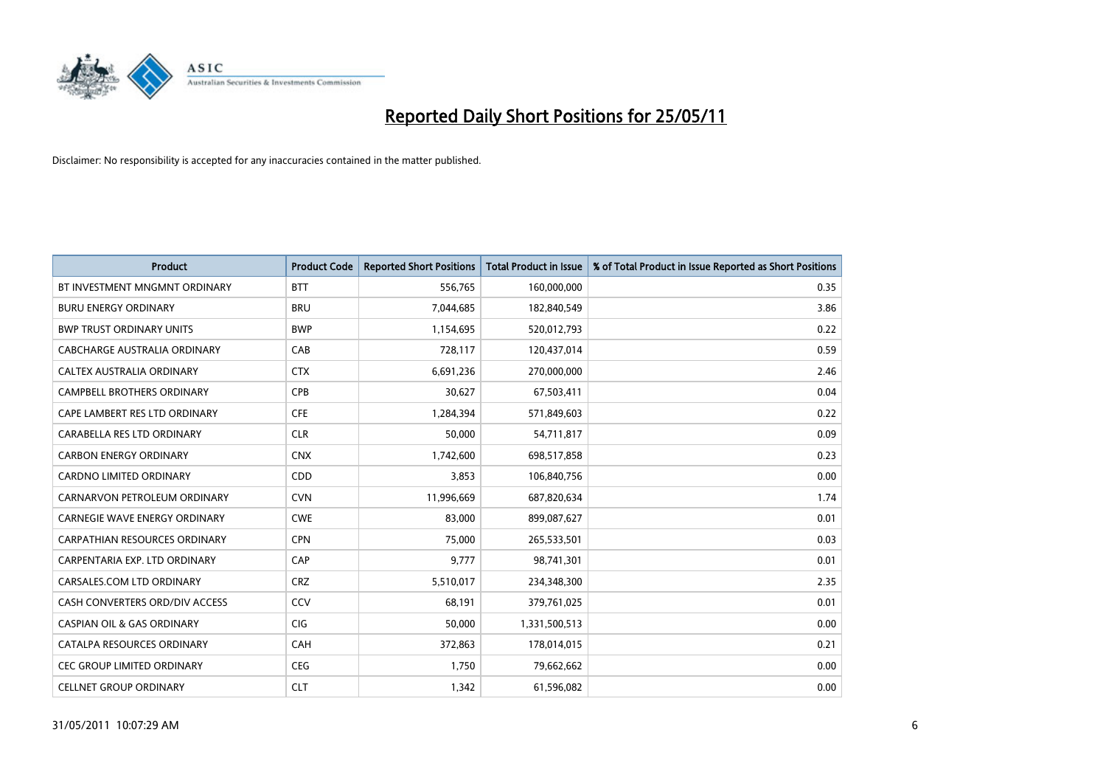

| <b>Product</b>                        | <b>Product Code</b> | <b>Reported Short Positions</b> | Total Product in Issue | % of Total Product in Issue Reported as Short Positions |
|---------------------------------------|---------------------|---------------------------------|------------------------|---------------------------------------------------------|
| BT INVESTMENT MNGMNT ORDINARY         | <b>BTT</b>          | 556,765                         | 160,000,000            | 0.35                                                    |
| <b>BURU ENERGY ORDINARY</b>           | <b>BRU</b>          | 7,044,685                       | 182,840,549            | 3.86                                                    |
| <b>BWP TRUST ORDINARY UNITS</b>       | <b>BWP</b>          | 1,154,695                       | 520,012,793            | 0.22                                                    |
| CABCHARGE AUSTRALIA ORDINARY          | CAB                 | 728,117                         | 120,437,014            | 0.59                                                    |
| CALTEX AUSTRALIA ORDINARY             | <b>CTX</b>          | 6,691,236                       | 270,000,000            | 2.46                                                    |
| <b>CAMPBELL BROTHERS ORDINARY</b>     | CPB                 | 30,627                          | 67,503,411             | 0.04                                                    |
| CAPE LAMBERT RES LTD ORDINARY         | <b>CFE</b>          | 1,284,394                       | 571,849,603            | 0.22                                                    |
| CARABELLA RES LTD ORDINARY            | <b>CLR</b>          | 50,000                          | 54,711,817             | 0.09                                                    |
| <b>CARBON ENERGY ORDINARY</b>         | <b>CNX</b>          | 1,742,600                       | 698,517,858            | 0.23                                                    |
| <b>CARDNO LIMITED ORDINARY</b>        | CDD                 | 3,853                           | 106,840,756            | 0.00                                                    |
| CARNARVON PETROLEUM ORDINARY          | <b>CVN</b>          | 11,996,669                      | 687,820,634            | 1.74                                                    |
| <b>CARNEGIE WAVE ENERGY ORDINARY</b>  | <b>CWE</b>          | 83,000                          | 899,087,627            | 0.01                                                    |
| CARPATHIAN RESOURCES ORDINARY         | <b>CPN</b>          | 75,000                          | 265,533,501            | 0.03                                                    |
| CARPENTARIA EXP. LTD ORDINARY         | CAP                 | 9,777                           | 98,741,301             | 0.01                                                    |
| CARSALES.COM LTD ORDINARY             | <b>CRZ</b>          | 5,510,017                       | 234,348,300            | 2.35                                                    |
| CASH CONVERTERS ORD/DIV ACCESS        | CCV                 | 68,191                          | 379,761,025            | 0.01                                                    |
| <b>CASPIAN OIL &amp; GAS ORDINARY</b> | CIG                 | 50,000                          | 1,331,500,513          | 0.00                                                    |
| CATALPA RESOURCES ORDINARY            | CAH                 | 372,863                         | 178,014,015            | 0.21                                                    |
| <b>CEC GROUP LIMITED ORDINARY</b>     | <b>CEG</b>          | 1,750                           | 79,662,662             | 0.00                                                    |
| <b>CELLNET GROUP ORDINARY</b>         | <b>CLT</b>          | 1,342                           | 61,596,082             | 0.00                                                    |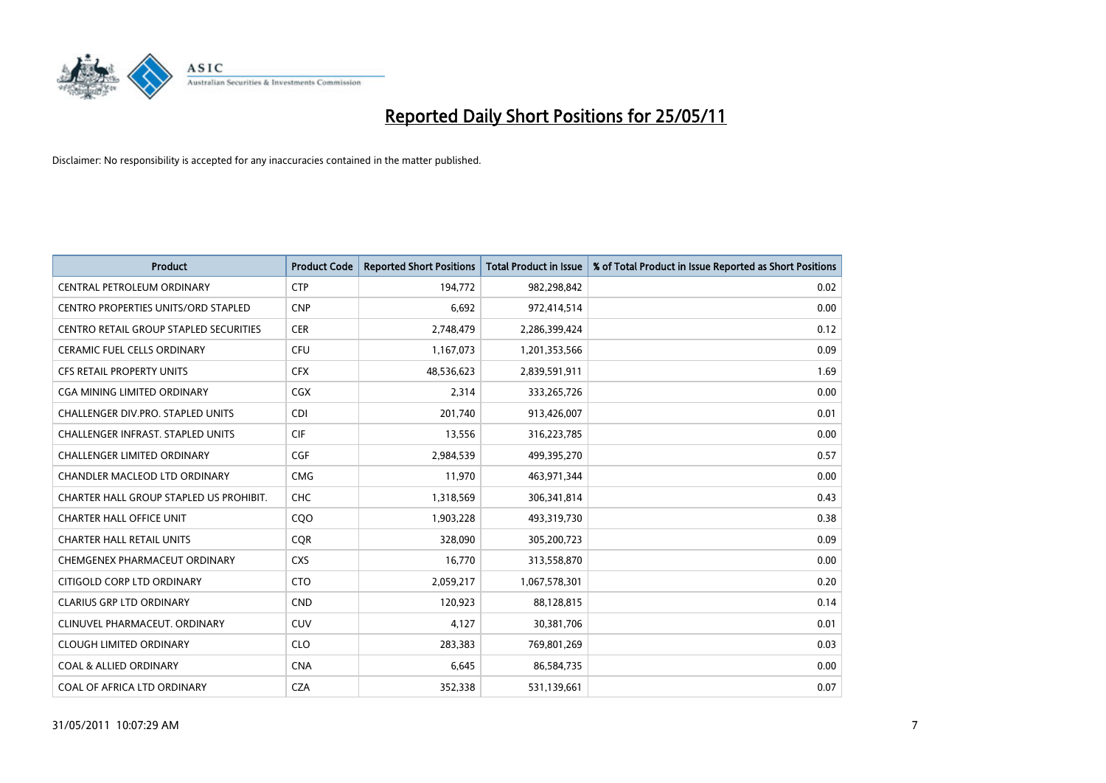

| <b>Product</b>                                | <b>Product Code</b> | <b>Reported Short Positions</b> | <b>Total Product in Issue</b> | % of Total Product in Issue Reported as Short Positions |
|-----------------------------------------------|---------------------|---------------------------------|-------------------------------|---------------------------------------------------------|
| CENTRAL PETROLEUM ORDINARY                    | <b>CTP</b>          | 194,772                         | 982,298,842                   | 0.02                                                    |
| CENTRO PROPERTIES UNITS/ORD STAPLED           | <b>CNP</b>          | 6,692                           | 972,414,514                   | 0.00                                                    |
| <b>CENTRO RETAIL GROUP STAPLED SECURITIES</b> | <b>CER</b>          | 2,748,479                       | 2,286,399,424                 | 0.12                                                    |
| CERAMIC FUEL CELLS ORDINARY                   | CFU                 | 1,167,073                       | 1,201,353,566                 | 0.09                                                    |
| <b>CFS RETAIL PROPERTY UNITS</b>              | <b>CFX</b>          | 48,536,623                      | 2,839,591,911                 | 1.69                                                    |
| <b>CGA MINING LIMITED ORDINARY</b>            | <b>CGX</b>          | 2,314                           | 333,265,726                   | 0.00                                                    |
| CHALLENGER DIV.PRO. STAPLED UNITS             | <b>CDI</b>          | 201.740                         | 913,426,007                   | 0.01                                                    |
| <b>CHALLENGER INFRAST, STAPLED UNITS</b>      | <b>CIF</b>          | 13,556                          | 316,223,785                   | 0.00                                                    |
| CHALLENGER LIMITED ORDINARY                   | CGF                 | 2,984,539                       | 499,395,270                   | 0.57                                                    |
| CHANDLER MACLEOD LTD ORDINARY                 | <b>CMG</b>          | 11,970                          | 463,971,344                   | 0.00                                                    |
| CHARTER HALL GROUP STAPLED US PROHIBIT.       | CHC                 | 1,318,569                       | 306,341,814                   | 0.43                                                    |
| <b>CHARTER HALL OFFICE UNIT</b>               | COO                 | 1,903,228                       | 493,319,730                   | 0.38                                                    |
| <b>CHARTER HALL RETAIL UNITS</b>              | <b>CQR</b>          | 328,090                         | 305,200,723                   | 0.09                                                    |
| CHEMGENEX PHARMACEUT ORDINARY                 | <b>CXS</b>          | 16,770                          | 313,558,870                   | 0.00                                                    |
| CITIGOLD CORP LTD ORDINARY                    | <b>CTO</b>          | 2,059,217                       | 1,067,578,301                 | 0.20                                                    |
| <b>CLARIUS GRP LTD ORDINARY</b>               | <b>CND</b>          | 120,923                         | 88,128,815                    | 0.14                                                    |
| CLINUVEL PHARMACEUT, ORDINARY                 | <b>CUV</b>          | 4,127                           | 30,381,706                    | 0.01                                                    |
| <b>CLOUGH LIMITED ORDINARY</b>                | <b>CLO</b>          | 283,383                         | 769,801,269                   | 0.03                                                    |
| <b>COAL &amp; ALLIED ORDINARY</b>             | <b>CNA</b>          | 6,645                           | 86,584,735                    | 0.00                                                    |
| COAL OF AFRICA LTD ORDINARY                   | <b>CZA</b>          | 352,338                         | 531,139,661                   | 0.07                                                    |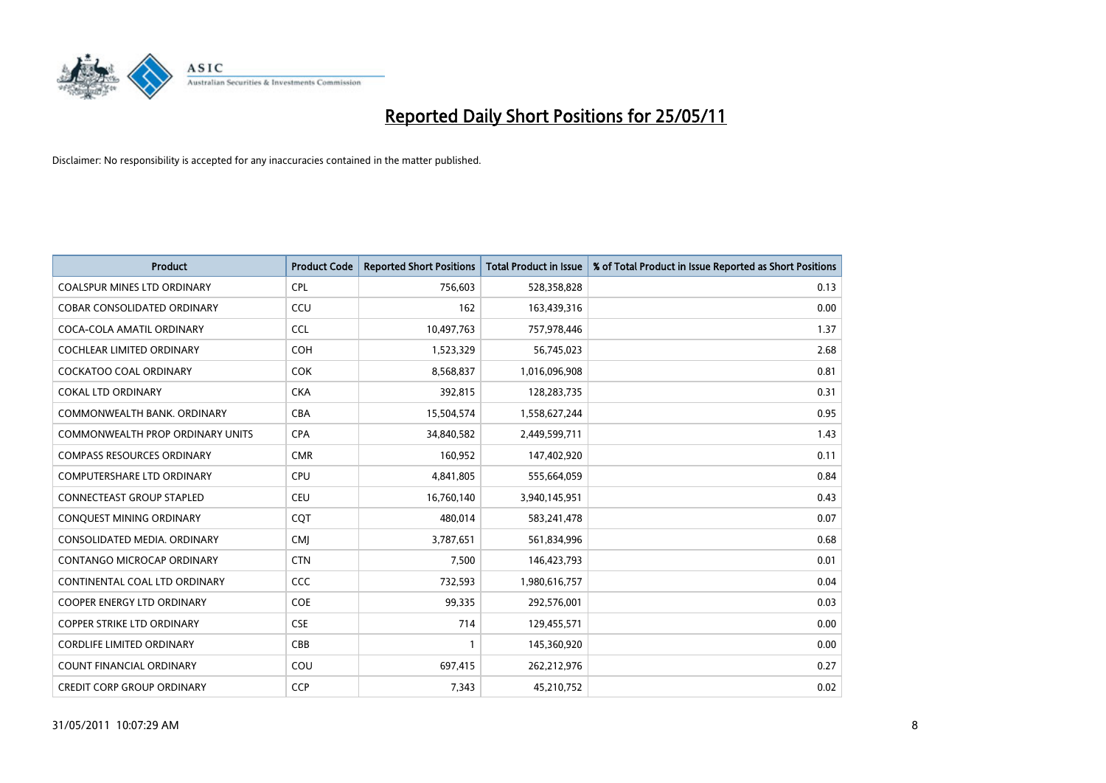

| <b>Product</b>                          | <b>Product Code</b> | <b>Reported Short Positions</b> | Total Product in Issue | % of Total Product in Issue Reported as Short Positions |
|-----------------------------------------|---------------------|---------------------------------|------------------------|---------------------------------------------------------|
| <b>COALSPUR MINES LTD ORDINARY</b>      | <b>CPL</b>          | 756,603                         | 528,358,828            | 0.13                                                    |
| COBAR CONSOLIDATED ORDINARY             | CCU                 | 162                             | 163,439,316            | 0.00                                                    |
| COCA-COLA AMATIL ORDINARY               | <b>CCL</b>          | 10,497,763                      | 757,978,446            | 1.37                                                    |
| COCHLEAR LIMITED ORDINARY               | <b>COH</b>          | 1,523,329                       | 56,745,023             | 2.68                                                    |
| <b>COCKATOO COAL ORDINARY</b>           | <b>COK</b>          | 8,568,837                       | 1,016,096,908          | 0.81                                                    |
| <b>COKAL LTD ORDINARY</b>               | <b>CKA</b>          | 392,815                         | 128,283,735            | 0.31                                                    |
| COMMONWEALTH BANK, ORDINARY             | <b>CBA</b>          | 15,504,574                      | 1,558,627,244          | 0.95                                                    |
| <b>COMMONWEALTH PROP ORDINARY UNITS</b> | <b>CPA</b>          | 34,840,582                      | 2,449,599,711          | 1.43                                                    |
| <b>COMPASS RESOURCES ORDINARY</b>       | <b>CMR</b>          | 160,952                         | 147,402,920            | 0.11                                                    |
| <b>COMPUTERSHARE LTD ORDINARY</b>       | <b>CPU</b>          | 4,841,805                       | 555,664,059            | 0.84                                                    |
| <b>CONNECTEAST GROUP STAPLED</b>        | <b>CEU</b>          | 16,760,140                      | 3,940,145,951          | 0.43                                                    |
| CONQUEST MINING ORDINARY                | CQT                 | 480,014                         | 583,241,478            | 0.07                                                    |
| CONSOLIDATED MEDIA. ORDINARY            | <b>CMI</b>          | 3,787,651                       | 561,834,996            | 0.68                                                    |
| CONTANGO MICROCAP ORDINARY              | <b>CTN</b>          | 7,500                           | 146,423,793            | 0.01                                                    |
| CONTINENTAL COAL LTD ORDINARY           | CCC                 | 732,593                         | 1,980,616,757          | 0.04                                                    |
| <b>COOPER ENERGY LTD ORDINARY</b>       | <b>COE</b>          | 99,335                          | 292,576,001            | 0.03                                                    |
| COPPER STRIKE LTD ORDINARY              | <b>CSE</b>          | 714                             | 129,455,571            | 0.00                                                    |
| <b>CORDLIFE LIMITED ORDINARY</b>        | CBB                 |                                 | 145,360,920            | 0.00                                                    |
| <b>COUNT FINANCIAL ORDINARY</b>         | COU                 | 697,415                         | 262,212,976            | 0.27                                                    |
| <b>CREDIT CORP GROUP ORDINARY</b>       | <b>CCP</b>          | 7,343                           | 45,210,752             | 0.02                                                    |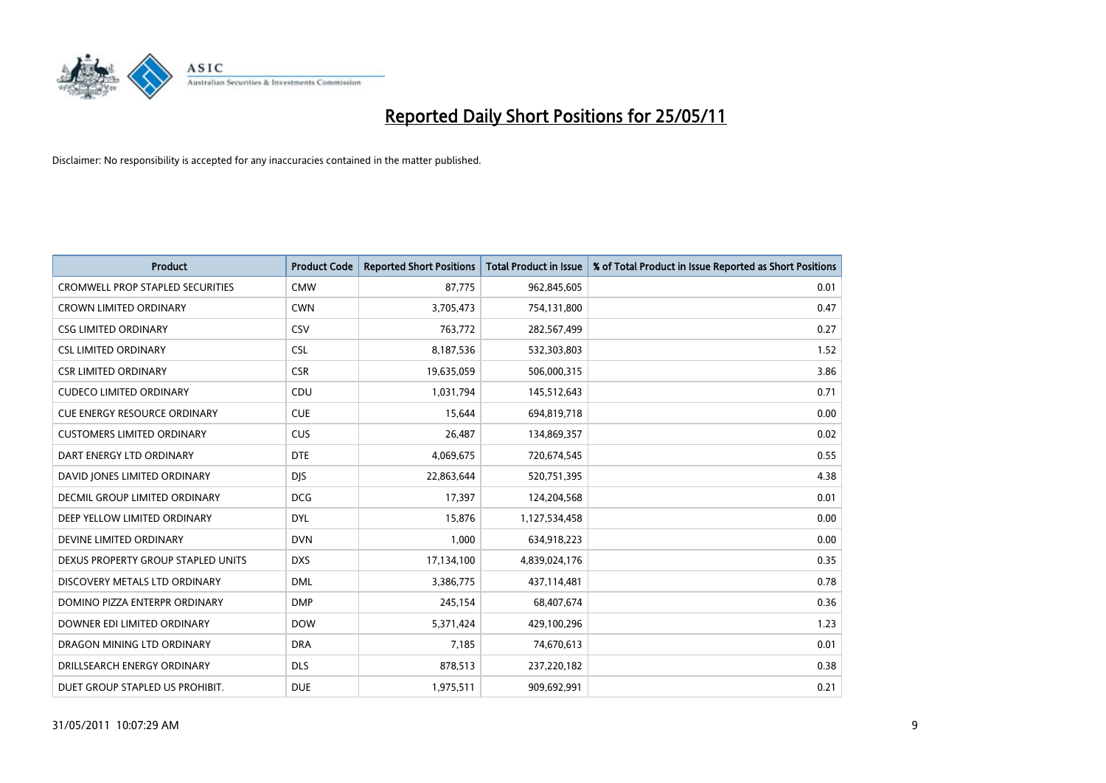

| <b>Product</b>                          | <b>Product Code</b> | <b>Reported Short Positions</b> | Total Product in Issue | % of Total Product in Issue Reported as Short Positions |
|-----------------------------------------|---------------------|---------------------------------|------------------------|---------------------------------------------------------|
| <b>CROMWELL PROP STAPLED SECURITIES</b> | <b>CMW</b>          | 87,775                          | 962,845,605            | 0.01                                                    |
| CROWN LIMITED ORDINARY                  | <b>CWN</b>          | 3,705,473                       | 754,131,800            | 0.47                                                    |
| <b>CSG LIMITED ORDINARY</b>             | CSV                 | 763,772                         | 282,567,499            | 0.27                                                    |
| <b>CSL LIMITED ORDINARY</b>             | <b>CSL</b>          | 8,187,536                       | 532,303,803            | 1.52                                                    |
| <b>CSR LIMITED ORDINARY</b>             | <b>CSR</b>          | 19,635,059                      | 506,000,315            | 3.86                                                    |
| <b>CUDECO LIMITED ORDINARY</b>          | CDU                 | 1,031,794                       | 145,512,643            | 0.71                                                    |
| <b>CUE ENERGY RESOURCE ORDINARY</b>     | <b>CUE</b>          | 15,644                          | 694,819,718            | 0.00                                                    |
| <b>CUSTOMERS LIMITED ORDINARY</b>       | CUS                 | 26,487                          | 134,869,357            | 0.02                                                    |
| DART ENERGY LTD ORDINARY                | <b>DTE</b>          | 4,069,675                       | 720,674,545            | 0.55                                                    |
| DAVID JONES LIMITED ORDINARY            | <b>DIS</b>          | 22,863,644                      | 520,751,395            | 4.38                                                    |
| DECMIL GROUP LIMITED ORDINARY           | <b>DCG</b>          | 17,397                          | 124,204,568            | 0.01                                                    |
| DEEP YELLOW LIMITED ORDINARY            | <b>DYL</b>          | 15,876                          | 1,127,534,458          | 0.00                                                    |
| DEVINE LIMITED ORDINARY                 | <b>DVN</b>          | 1,000                           | 634,918,223            | 0.00                                                    |
| DEXUS PROPERTY GROUP STAPLED UNITS      | <b>DXS</b>          | 17,134,100                      | 4,839,024,176          | 0.35                                                    |
| DISCOVERY METALS LTD ORDINARY           | <b>DML</b>          | 3,386,775                       | 437,114,481            | 0.78                                                    |
| DOMINO PIZZA ENTERPR ORDINARY           | <b>DMP</b>          | 245,154                         | 68,407,674             | 0.36                                                    |
| DOWNER EDI LIMITED ORDINARY             | <b>DOW</b>          | 5,371,424                       | 429,100,296            | 1.23                                                    |
| DRAGON MINING LTD ORDINARY              | <b>DRA</b>          | 7,185                           | 74,670,613             | 0.01                                                    |
| DRILLSEARCH ENERGY ORDINARY             | <b>DLS</b>          | 878,513                         | 237,220,182            | 0.38                                                    |
| DUET GROUP STAPLED US PROHIBIT.         | <b>DUE</b>          | 1,975,511                       | 909,692,991            | 0.21                                                    |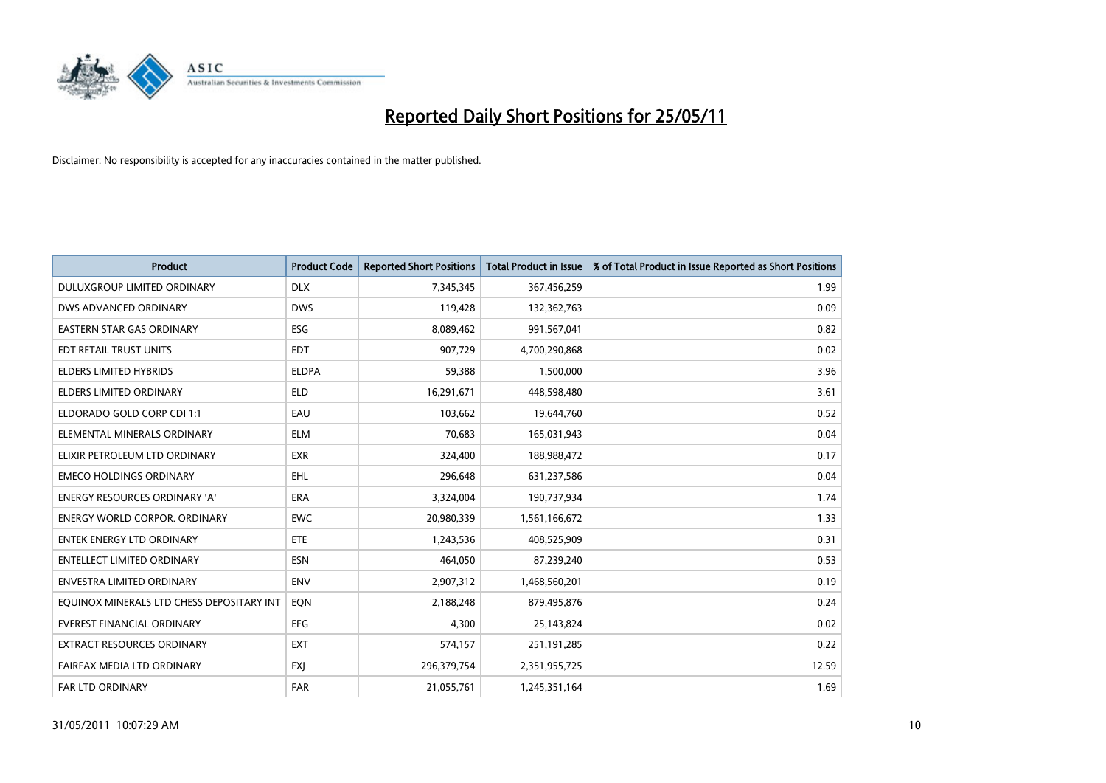

| <b>Product</b>                            | <b>Product Code</b> | <b>Reported Short Positions</b> | <b>Total Product in Issue</b> | % of Total Product in Issue Reported as Short Positions |
|-------------------------------------------|---------------------|---------------------------------|-------------------------------|---------------------------------------------------------|
| DULUXGROUP LIMITED ORDINARY               | <b>DLX</b>          | 7,345,345                       | 367,456,259                   | 1.99                                                    |
| DWS ADVANCED ORDINARY                     | <b>DWS</b>          | 119,428                         | 132,362,763                   | 0.09                                                    |
| EASTERN STAR GAS ORDINARY                 | <b>ESG</b>          | 8,089,462                       | 991,567,041                   | 0.82                                                    |
| EDT RETAIL TRUST UNITS                    | <b>EDT</b>          | 907,729                         | 4,700,290,868                 | 0.02                                                    |
| <b>ELDERS LIMITED HYBRIDS</b>             | <b>ELDPA</b>        | 59,388                          | 1,500,000                     | 3.96                                                    |
| <b>ELDERS LIMITED ORDINARY</b>            | <b>ELD</b>          | 16,291,671                      | 448,598,480                   | 3.61                                                    |
| ELDORADO GOLD CORP CDI 1:1                | EAU                 | 103,662                         | 19,644,760                    | 0.52                                                    |
| ELEMENTAL MINERALS ORDINARY               | <b>ELM</b>          | 70,683                          | 165,031,943                   | 0.04                                                    |
| ELIXIR PETROLEUM LTD ORDINARY             | <b>EXR</b>          | 324,400                         | 188,988,472                   | 0.17                                                    |
| <b>EMECO HOLDINGS ORDINARY</b>            | <b>EHL</b>          | 296,648                         | 631,237,586                   | 0.04                                                    |
| ENERGY RESOURCES ORDINARY 'A'             | <b>ERA</b>          | 3,324,004                       | 190,737,934                   | 1.74                                                    |
| <b>ENERGY WORLD CORPOR, ORDINARY</b>      | <b>EWC</b>          | 20,980,339                      | 1,561,166,672                 | 1.33                                                    |
| ENTEK ENERGY LTD ORDINARY                 | <b>ETE</b>          | 1,243,536                       | 408,525,909                   | 0.31                                                    |
| <b>ENTELLECT LIMITED ORDINARY</b>         | ESN                 | 464,050                         | 87,239,240                    | 0.53                                                    |
| <b>ENVESTRA LIMITED ORDINARY</b>          | <b>ENV</b>          | 2,907,312                       | 1,468,560,201                 | 0.19                                                    |
| EQUINOX MINERALS LTD CHESS DEPOSITARY INT | EON                 | 2,188,248                       | 879,495,876                   | 0.24                                                    |
| EVEREST FINANCIAL ORDINARY                | EFG                 | 4,300                           | 25,143,824                    | 0.02                                                    |
| EXTRACT RESOURCES ORDINARY                | <b>EXT</b>          | 574,157                         | 251,191,285                   | 0.22                                                    |
| FAIRFAX MEDIA LTD ORDINARY                | <b>FXI</b>          | 296,379,754                     | 2,351,955,725                 | 12.59                                                   |
| FAR LTD ORDINARY                          | <b>FAR</b>          | 21,055,761                      | 1,245,351,164                 | 1.69                                                    |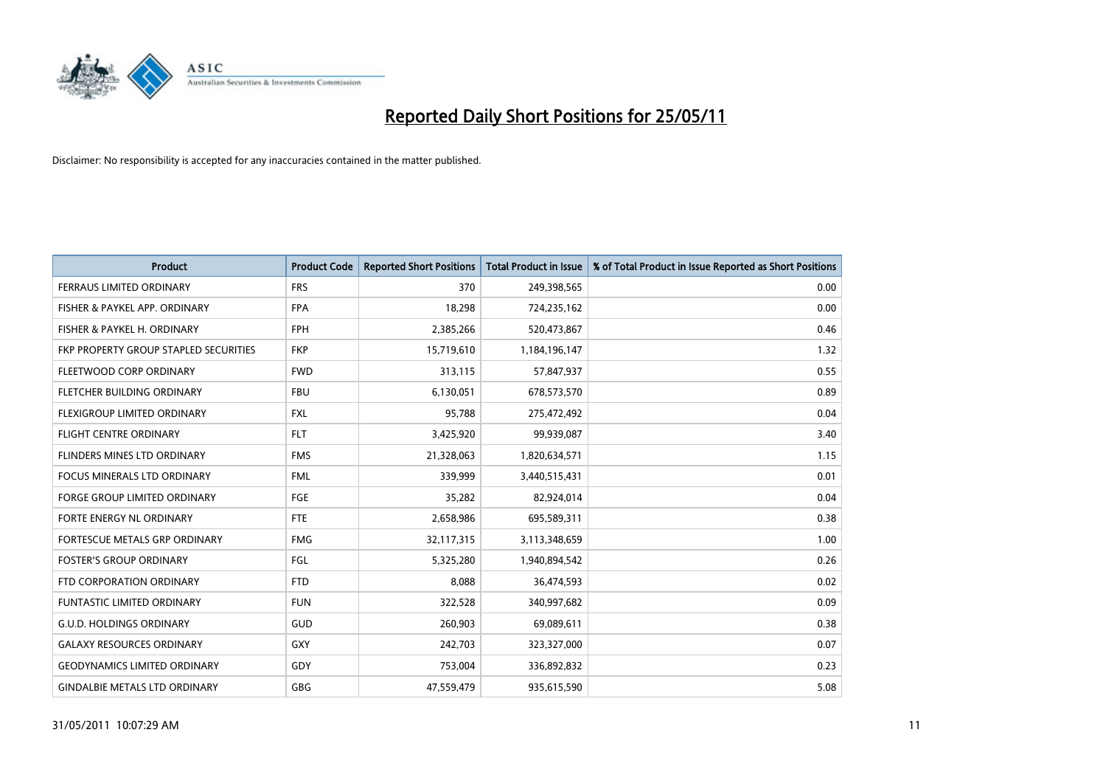

| <b>Product</b>                        | <b>Product Code</b> | <b>Reported Short Positions</b> | <b>Total Product in Issue</b> | % of Total Product in Issue Reported as Short Positions |
|---------------------------------------|---------------------|---------------------------------|-------------------------------|---------------------------------------------------------|
| FERRAUS LIMITED ORDINARY              | <b>FRS</b>          | 370                             | 249,398,565                   | 0.00                                                    |
| FISHER & PAYKEL APP. ORDINARY         | <b>FPA</b>          | 18,298                          | 724,235,162                   | 0.00                                                    |
| FISHER & PAYKEL H. ORDINARY           | <b>FPH</b>          | 2,385,266                       | 520,473,867                   | 0.46                                                    |
| FKP PROPERTY GROUP STAPLED SECURITIES | <b>FKP</b>          | 15,719,610                      | 1,184,196,147                 | 1.32                                                    |
| FLEETWOOD CORP ORDINARY               | <b>FWD</b>          | 313,115                         | 57,847,937                    | 0.55                                                    |
| FLETCHER BUILDING ORDINARY            | <b>FBU</b>          | 6,130,051                       | 678,573,570                   | 0.89                                                    |
| FLEXIGROUP LIMITED ORDINARY           | <b>FXL</b>          | 95.788                          | 275,472,492                   | 0.04                                                    |
| <b>FLIGHT CENTRE ORDINARY</b>         | <b>FLT</b>          | 3,425,920                       | 99,939,087                    | 3.40                                                    |
| FLINDERS MINES LTD ORDINARY           | <b>FMS</b>          | 21,328,063                      | 1,820,634,571                 | 1.15                                                    |
| <b>FOCUS MINERALS LTD ORDINARY</b>    | <b>FML</b>          | 339,999                         | 3,440,515,431                 | 0.01                                                    |
| <b>FORGE GROUP LIMITED ORDINARY</b>   | <b>FGE</b>          | 35,282                          | 82,924,014                    | 0.04                                                    |
| <b>FORTE ENERGY NL ORDINARY</b>       | <b>FTE</b>          | 2,658,986                       | 695,589,311                   | 0.38                                                    |
| FORTESCUE METALS GRP ORDINARY         | <b>FMG</b>          | 32,117,315                      | 3,113,348,659                 | 1.00                                                    |
| <b>FOSTER'S GROUP ORDINARY</b>        | FGL                 | 5,325,280                       | 1,940,894,542                 | 0.26                                                    |
| FTD CORPORATION ORDINARY              | <b>FTD</b>          | 8.088                           | 36,474,593                    | 0.02                                                    |
| <b>FUNTASTIC LIMITED ORDINARY</b>     | <b>FUN</b>          | 322,528                         | 340,997,682                   | 0.09                                                    |
| <b>G.U.D. HOLDINGS ORDINARY</b>       | GUD                 | 260,903                         | 69,089,611                    | 0.38                                                    |
| <b>GALAXY RESOURCES ORDINARY</b>      | <b>GXY</b>          | 242,703                         | 323,327,000                   | 0.07                                                    |
| <b>GEODYNAMICS LIMITED ORDINARY</b>   | GDY                 | 753,004                         | 336,892,832                   | 0.23                                                    |
| <b>GINDALBIE METALS LTD ORDINARY</b>  | <b>GBG</b>          | 47.559.479                      | 935,615,590                   | 5.08                                                    |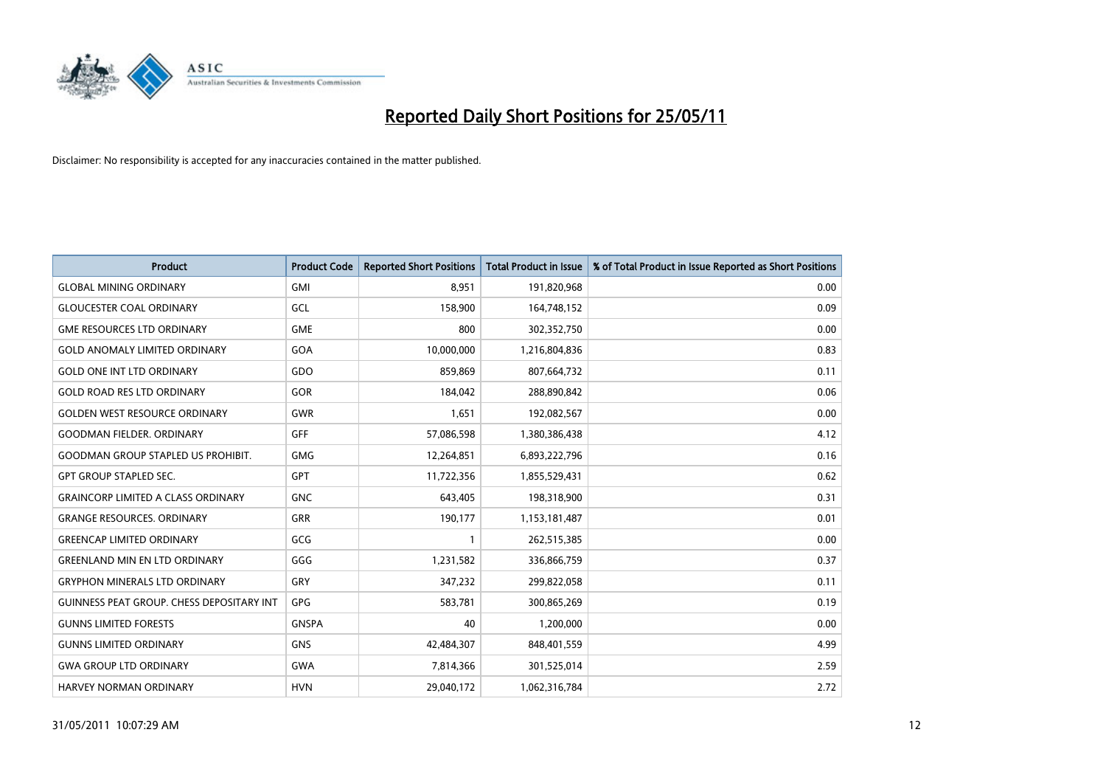

| <b>Product</b>                                   | <b>Product Code</b> | <b>Reported Short Positions</b> | Total Product in Issue | % of Total Product in Issue Reported as Short Positions |
|--------------------------------------------------|---------------------|---------------------------------|------------------------|---------------------------------------------------------|
| <b>GLOBAL MINING ORDINARY</b>                    | <b>GMI</b>          | 8,951                           | 191,820,968            | 0.00                                                    |
| <b>GLOUCESTER COAL ORDINARY</b>                  | GCL                 | 158,900                         | 164,748,152            | 0.09                                                    |
| <b>GME RESOURCES LTD ORDINARY</b>                | <b>GME</b>          | 800                             | 302,352,750            | 0.00                                                    |
| <b>GOLD ANOMALY LIMITED ORDINARY</b>             | GOA                 | 10,000,000                      | 1,216,804,836          | 0.83                                                    |
| <b>GOLD ONE INT LTD ORDINARY</b>                 | GDO                 | 859,869                         | 807,664,732            | 0.11                                                    |
| <b>GOLD ROAD RES LTD ORDINARY</b>                | GOR                 | 184,042                         | 288,890,842            | 0.06                                                    |
| <b>GOLDEN WEST RESOURCE ORDINARY</b>             | <b>GWR</b>          | 1,651                           | 192,082,567            | 0.00                                                    |
| <b>GOODMAN FIELDER, ORDINARY</b>                 | <b>GFF</b>          | 57,086,598                      | 1,380,386,438          | 4.12                                                    |
| <b>GOODMAN GROUP STAPLED US PROHIBIT.</b>        | <b>GMG</b>          | 12,264,851                      | 6,893,222,796          | 0.16                                                    |
| <b>GPT GROUP STAPLED SEC.</b>                    | <b>GPT</b>          | 11,722,356                      | 1,855,529,431          | 0.62                                                    |
| <b>GRAINCORP LIMITED A CLASS ORDINARY</b>        | <b>GNC</b>          | 643,405                         | 198,318,900            | 0.31                                                    |
| <b>GRANGE RESOURCES, ORDINARY</b>                | <b>GRR</b>          | 190,177                         | 1,153,181,487          | 0.01                                                    |
| <b>GREENCAP LIMITED ORDINARY</b>                 | GCG                 |                                 | 262,515,385            | 0.00                                                    |
| <b>GREENLAND MIN EN LTD ORDINARY</b>             | GGG                 | 1,231,582                       | 336,866,759            | 0.37                                                    |
| <b>GRYPHON MINERALS LTD ORDINARY</b>             | GRY                 | 347,232                         | 299,822,058            | 0.11                                                    |
| <b>GUINNESS PEAT GROUP. CHESS DEPOSITARY INT</b> | <b>GPG</b>          | 583,781                         | 300,865,269            | 0.19                                                    |
| <b>GUNNS LIMITED FORESTS</b>                     | <b>GNSPA</b>        | 40                              | 1,200,000              | 0.00                                                    |
| <b>GUNNS LIMITED ORDINARY</b>                    | <b>GNS</b>          | 42,484,307                      | 848,401,559            | 4.99                                                    |
| <b>GWA GROUP LTD ORDINARY</b>                    | <b>GWA</b>          | 7,814,366                       | 301,525,014            | 2.59                                                    |
| HARVEY NORMAN ORDINARY                           | <b>HVN</b>          | 29,040,172                      | 1,062,316,784          | 2.72                                                    |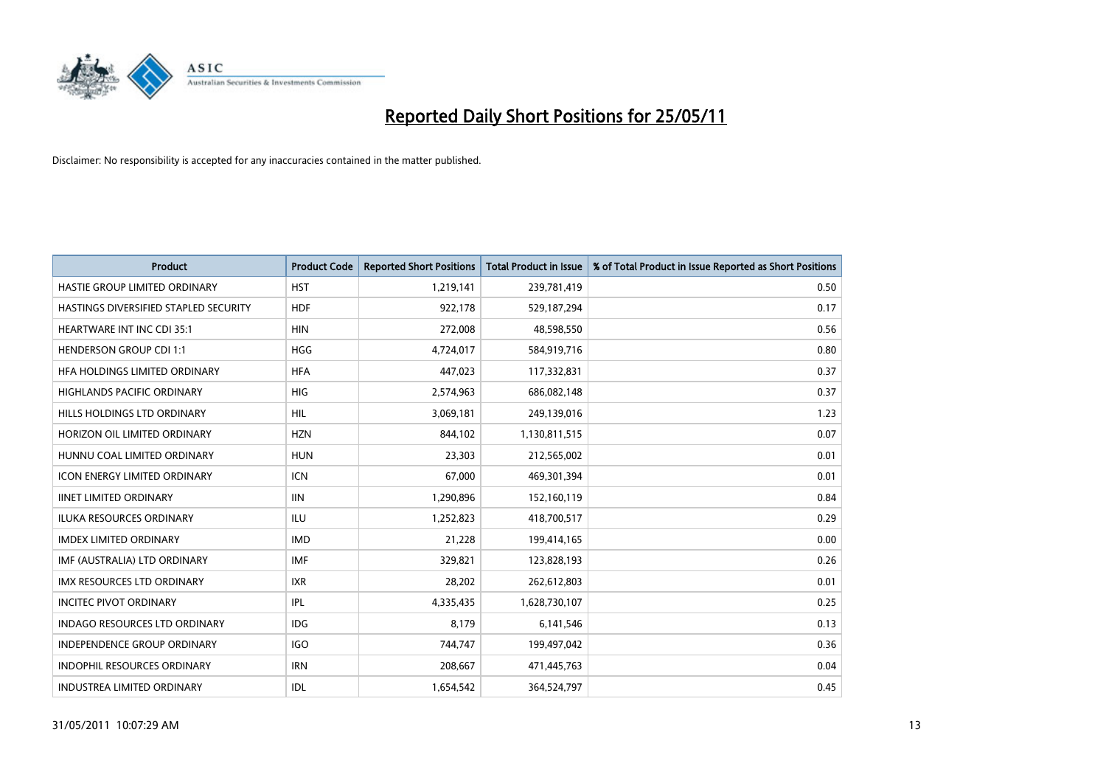

| <b>Product</b>                        | <b>Product Code</b> | <b>Reported Short Positions</b> | <b>Total Product in Issue</b> | % of Total Product in Issue Reported as Short Positions |
|---------------------------------------|---------------------|---------------------------------|-------------------------------|---------------------------------------------------------|
| HASTIE GROUP LIMITED ORDINARY         | <b>HST</b>          | 1,219,141                       | 239,781,419                   | 0.50                                                    |
| HASTINGS DIVERSIFIED STAPLED SECURITY | <b>HDF</b>          | 922,178                         | 529,187,294                   | 0.17                                                    |
| <b>HEARTWARE INT INC CDI 35:1</b>     | <b>HIN</b>          | 272,008                         | 48,598,550                    | 0.56                                                    |
| <b>HENDERSON GROUP CDI 1:1</b>        | <b>HGG</b>          | 4,724,017                       | 584,919,716                   | 0.80                                                    |
| HFA HOLDINGS LIMITED ORDINARY         | <b>HFA</b>          | 447,023                         | 117,332,831                   | 0.37                                                    |
| <b>HIGHLANDS PACIFIC ORDINARY</b>     | <b>HIG</b>          | 2,574,963                       | 686,082,148                   | 0.37                                                    |
| HILLS HOLDINGS LTD ORDINARY           | <b>HIL</b>          | 3,069,181                       | 249,139,016                   | 1.23                                                    |
| HORIZON OIL LIMITED ORDINARY          | <b>HZN</b>          | 844,102                         | 1,130,811,515                 | 0.07                                                    |
| HUNNU COAL LIMITED ORDINARY           | <b>HUN</b>          | 23,303                          | 212,565,002                   | 0.01                                                    |
| <b>ICON ENERGY LIMITED ORDINARY</b>   | <b>ICN</b>          | 67,000                          | 469,301,394                   | 0.01                                                    |
| <b>IINET LIMITED ORDINARY</b>         | <b>IIN</b>          | 1,290,896                       | 152,160,119                   | 0.84                                                    |
| <b>ILUKA RESOURCES ORDINARY</b>       | <b>ILU</b>          | 1,252,823                       | 418,700,517                   | 0.29                                                    |
| <b>IMDEX LIMITED ORDINARY</b>         | <b>IMD</b>          | 21,228                          | 199,414,165                   | 0.00                                                    |
| IMF (AUSTRALIA) LTD ORDINARY          | <b>IMF</b>          | 329,821                         | 123,828,193                   | 0.26                                                    |
| <b>IMX RESOURCES LTD ORDINARY</b>     | <b>IXR</b>          | 28,202                          | 262,612,803                   | 0.01                                                    |
| <b>INCITEC PIVOT ORDINARY</b>         | <b>IPL</b>          | 4,335,435                       | 1,628,730,107                 | 0.25                                                    |
| <b>INDAGO RESOURCES LTD ORDINARY</b>  | <b>IDG</b>          | 8,179                           | 6,141,546                     | 0.13                                                    |
| INDEPENDENCE GROUP ORDINARY           | <b>IGO</b>          | 744,747                         | 199,497,042                   | 0.36                                                    |
| <b>INDOPHIL RESOURCES ORDINARY</b>    | <b>IRN</b>          | 208,667                         | 471,445,763                   | 0.04                                                    |
| <b>INDUSTREA LIMITED ORDINARY</b>     | IDL                 | 1,654,542                       | 364,524,797                   | 0.45                                                    |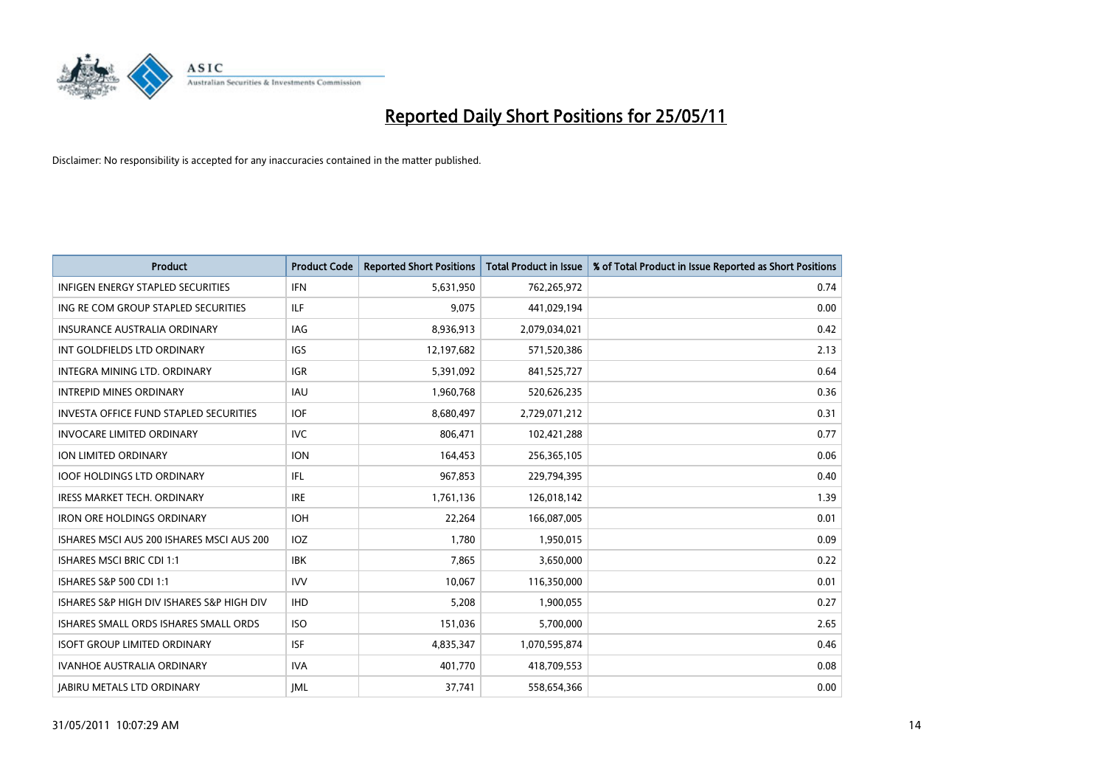

| <b>Product</b>                                | <b>Product Code</b> | <b>Reported Short Positions</b> | Total Product in Issue | % of Total Product in Issue Reported as Short Positions |
|-----------------------------------------------|---------------------|---------------------------------|------------------------|---------------------------------------------------------|
| <b>INFIGEN ENERGY STAPLED SECURITIES</b>      | <b>IFN</b>          | 5,631,950                       | 762,265,972            | 0.74                                                    |
| ING RE COM GROUP STAPLED SECURITIES           | <b>ILF</b>          | 9,075                           | 441,029,194            | 0.00                                                    |
| <b>INSURANCE AUSTRALIA ORDINARY</b>           | <b>IAG</b>          | 8,936,913                       | 2,079,034,021          | 0.42                                                    |
| INT GOLDFIELDS LTD ORDINARY                   | <b>IGS</b>          | 12,197,682                      | 571,520,386            | 2.13                                                    |
| INTEGRA MINING LTD. ORDINARY                  | <b>IGR</b>          | 5,391,092                       | 841,525,727            | 0.64                                                    |
| <b>INTREPID MINES ORDINARY</b>                | <b>IAU</b>          | 1,960,768                       | 520,626,235            | 0.36                                                    |
| <b>INVESTA OFFICE FUND STAPLED SECURITIES</b> | <b>IOF</b>          | 8,680,497                       | 2,729,071,212          | 0.31                                                    |
| <b>INVOCARE LIMITED ORDINARY</b>              | <b>IVC</b>          | 806,471                         | 102,421,288            | 0.77                                                    |
| ION LIMITED ORDINARY                          | <b>ION</b>          | 164,453                         | 256,365,105            | 0.06                                                    |
| <b>IOOF HOLDINGS LTD ORDINARY</b>             | IFL.                | 967,853                         | 229,794,395            | 0.40                                                    |
| IRESS MARKET TECH. ORDINARY                   | <b>IRE</b>          | 1,761,136                       | 126,018,142            | 1.39                                                    |
| <b>IRON ORE HOLDINGS ORDINARY</b>             | <b>IOH</b>          | 22,264                          | 166,087,005            | 0.01                                                    |
| ISHARES MSCI AUS 200 ISHARES MSCI AUS 200     | <b>IOZ</b>          | 1,780                           | 1,950,015              | 0.09                                                    |
| <b>ISHARES MSCI BRIC CDI 1:1</b>              | <b>IBK</b>          | 7,865                           | 3,650,000              | 0.22                                                    |
| ISHARES S&P 500 CDI 1:1                       | <b>IVV</b>          | 10,067                          | 116,350,000            | 0.01                                                    |
| ISHARES S&P HIGH DIV ISHARES S&P HIGH DIV     | <b>IHD</b>          | 5,208                           | 1,900,055              | 0.27                                                    |
| ISHARES SMALL ORDS ISHARES SMALL ORDS         | <b>ISO</b>          | 151,036                         | 5,700,000              | 2.65                                                    |
| <b>ISOFT GROUP LIMITED ORDINARY</b>           | <b>ISF</b>          | 4,835,347                       | 1,070,595,874          | 0.46                                                    |
| <b>IVANHOE AUSTRALIA ORDINARY</b>             | <b>IVA</b>          | 401,770                         | 418,709,553            | 0.08                                                    |
| <b>JABIRU METALS LTD ORDINARY</b>             | <b>IML</b>          | 37.741                          | 558,654,366            | 0.00                                                    |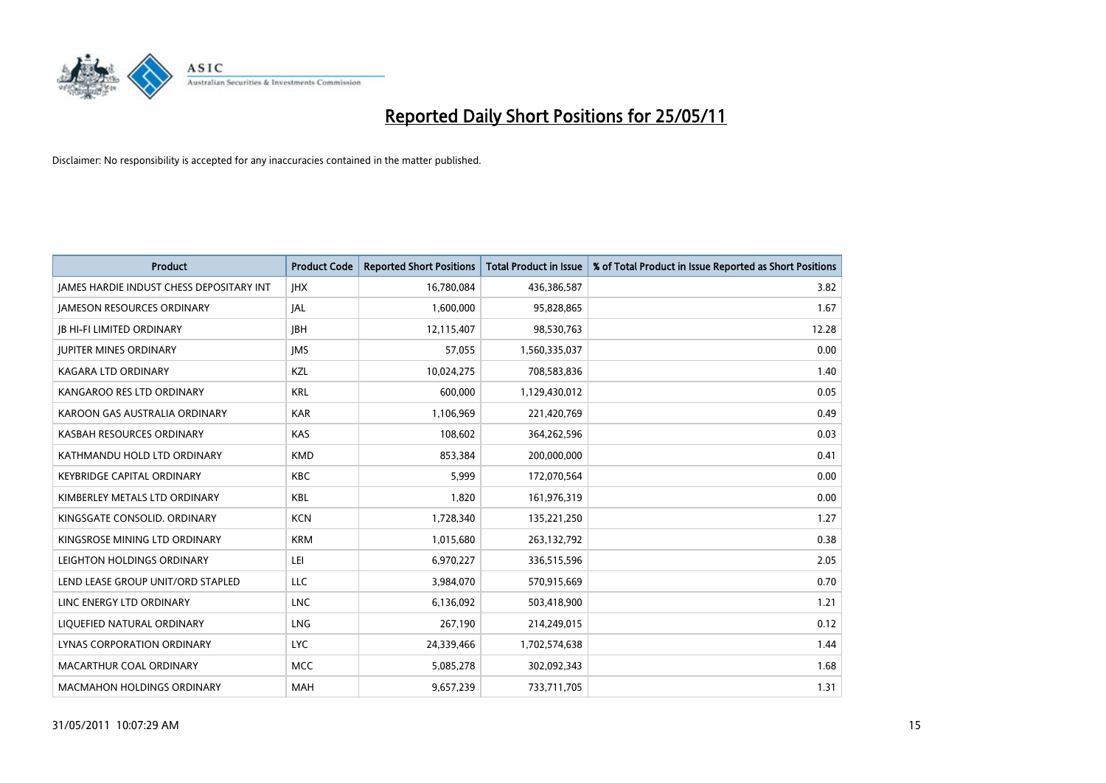

| <b>Product</b>                                  | <b>Product Code</b> | <b>Reported Short Positions</b> | <b>Total Product in Issue</b> | % of Total Product in Issue Reported as Short Positions |
|-------------------------------------------------|---------------------|---------------------------------|-------------------------------|---------------------------------------------------------|
| <b>JAMES HARDIE INDUST CHESS DEPOSITARY INT</b> | <b>JHX</b>          | 16,780,084                      | 436,386,587                   | 3.82                                                    |
| <b>JAMESON RESOURCES ORDINARY</b>               | <b>JAL</b>          | 1,600,000                       | 95,828,865                    | 1.67                                                    |
| <b>JB HI-FI LIMITED ORDINARY</b>                | <b>IBH</b>          | 12,115,407                      | 98,530,763                    | 12.28                                                   |
| <b>JUPITER MINES ORDINARY</b>                   | <b>IMS</b>          | 57,055                          | 1,560,335,037                 | 0.00                                                    |
| <b>KAGARA LTD ORDINARY</b>                      | KZL                 | 10,024,275                      | 708,583,836                   | 1.40                                                    |
| KANGAROO RES LTD ORDINARY                       | <b>KRL</b>          | 600,000                         | 1,129,430,012                 | 0.05                                                    |
| KAROON GAS AUSTRALIA ORDINARY                   | <b>KAR</b>          | 1,106,969                       | 221,420,769                   | 0.49                                                    |
| KASBAH RESOURCES ORDINARY                       | <b>KAS</b>          | 108,602                         | 364,262,596                   | 0.03                                                    |
| KATHMANDU HOLD LTD ORDINARY                     | <b>KMD</b>          | 853,384                         | 200,000,000                   | 0.41                                                    |
| <b>KEYBRIDGE CAPITAL ORDINARY</b>               | <b>KBC</b>          | 5.999                           | 172,070,564                   | 0.00                                                    |
| KIMBERLEY METALS LTD ORDINARY                   | <b>KBL</b>          | 1,820                           | 161,976,319                   | 0.00                                                    |
| KINGSGATE CONSOLID, ORDINARY                    | <b>KCN</b>          | 1,728,340                       | 135,221,250                   | 1.27                                                    |
| KINGSROSE MINING LTD ORDINARY                   | <b>KRM</b>          | 1,015,680                       | 263,132,792                   | 0.38                                                    |
| LEIGHTON HOLDINGS ORDINARY                      | LEI                 | 6,970,227                       | 336,515,596                   | 2.05                                                    |
| LEND LEASE GROUP UNIT/ORD STAPLED               | LLC                 | 3,984,070                       | 570,915,669                   | 0.70                                                    |
| LINC ENERGY LTD ORDINARY                        | <b>LNC</b>          | 6,136,092                       | 503,418,900                   | 1.21                                                    |
| LIQUEFIED NATURAL ORDINARY                      | LNG                 | 267,190                         | 214,249,015                   | 0.12                                                    |
| LYNAS CORPORATION ORDINARY                      | <b>LYC</b>          | 24,339,466                      | 1,702,574,638                 | 1.44                                                    |
| MACARTHUR COAL ORDINARY                         | <b>MCC</b>          | 5,085,278                       | 302,092,343                   | 1.68                                                    |
| <b>MACMAHON HOLDINGS ORDINARY</b>               | <b>MAH</b>          | 9,657,239                       | 733,711,705                   | 1.31                                                    |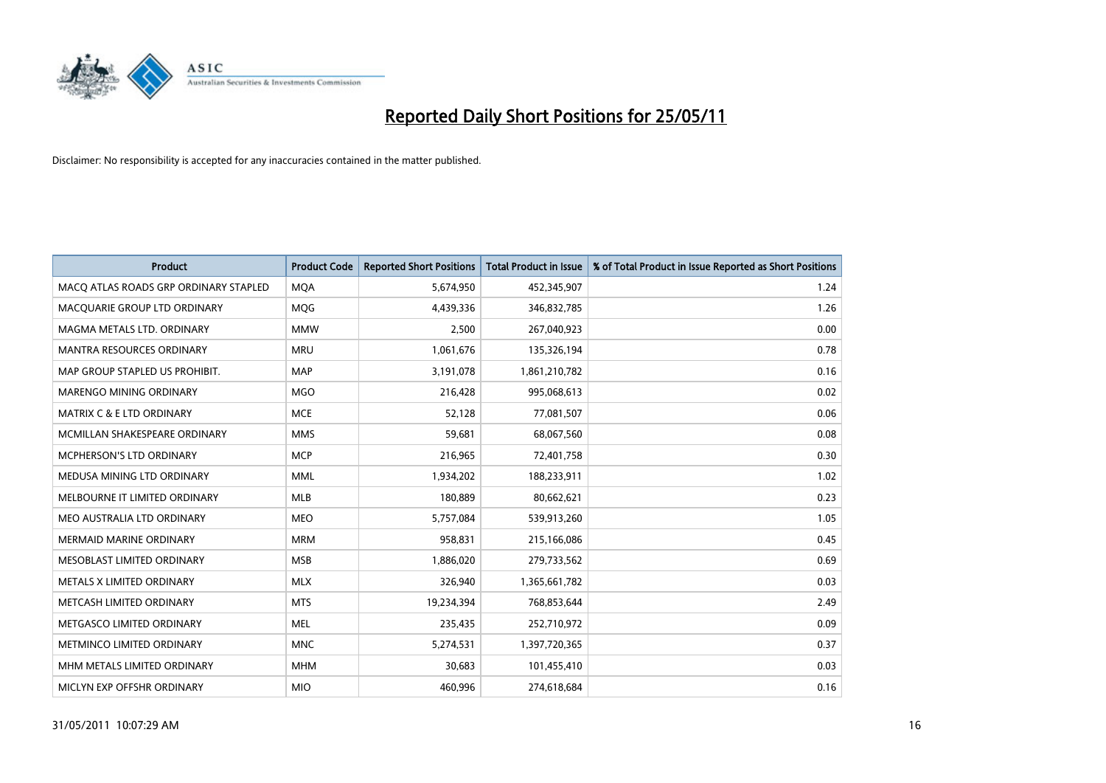

| <b>Product</b>                        | <b>Product Code</b> | <b>Reported Short Positions</b> | <b>Total Product in Issue</b> | % of Total Product in Issue Reported as Short Positions |
|---------------------------------------|---------------------|---------------------------------|-------------------------------|---------------------------------------------------------|
| MACQ ATLAS ROADS GRP ORDINARY STAPLED | <b>MQA</b>          | 5,674,950                       | 452,345,907                   | 1.24                                                    |
| MACQUARIE GROUP LTD ORDINARY          | <b>MOG</b>          | 4,439,336                       | 346,832,785                   | 1.26                                                    |
| MAGMA METALS LTD. ORDINARY            | <b>MMW</b>          | 2,500                           | 267,040,923                   | 0.00                                                    |
| MANTRA RESOURCES ORDINARY             | <b>MRU</b>          | 1,061,676                       | 135,326,194                   | 0.78                                                    |
| MAP GROUP STAPLED US PROHIBIT.        | <b>MAP</b>          | 3,191,078                       | 1,861,210,782                 | 0.16                                                    |
| <b>MARENGO MINING ORDINARY</b>        | <b>MGO</b>          | 216,428                         | 995,068,613                   | 0.02                                                    |
| <b>MATRIX C &amp; E LTD ORDINARY</b>  | <b>MCE</b>          | 52,128                          | 77,081,507                    | 0.06                                                    |
| MCMILLAN SHAKESPEARE ORDINARY         | <b>MMS</b>          | 59,681                          | 68,067,560                    | 0.08                                                    |
| <b>MCPHERSON'S LTD ORDINARY</b>       | <b>MCP</b>          | 216,965                         | 72,401,758                    | 0.30                                                    |
| MEDUSA MINING LTD ORDINARY            | <b>MML</b>          | 1,934,202                       | 188,233,911                   | 1.02                                                    |
| MELBOURNE IT LIMITED ORDINARY         | <b>MLB</b>          | 180,889                         | 80,662,621                    | 0.23                                                    |
| MEO AUSTRALIA LTD ORDINARY            | <b>MEO</b>          | 5,757,084                       | 539,913,260                   | 1.05                                                    |
| MERMAID MARINE ORDINARY               | <b>MRM</b>          | 958,831                         | 215,166,086                   | 0.45                                                    |
| MESOBLAST LIMITED ORDINARY            | <b>MSB</b>          | 1,886,020                       | 279,733,562                   | 0.69                                                    |
| METALS X LIMITED ORDINARY             | <b>MLX</b>          | 326,940                         | 1,365,661,782                 | 0.03                                                    |
| METCASH LIMITED ORDINARY              | <b>MTS</b>          | 19,234,394                      | 768,853,644                   | 2.49                                                    |
| METGASCO LIMITED ORDINARY             | <b>MEL</b>          | 235,435                         | 252,710,972                   | 0.09                                                    |
| METMINCO LIMITED ORDINARY             | <b>MNC</b>          | 5,274,531                       | 1,397,720,365                 | 0.37                                                    |
| MHM METALS LIMITED ORDINARY           | <b>MHM</b>          | 30,683                          | 101,455,410                   | 0.03                                                    |
| MICLYN EXP OFFSHR ORDINARY            | <b>MIO</b>          | 460,996                         | 274,618,684                   | 0.16                                                    |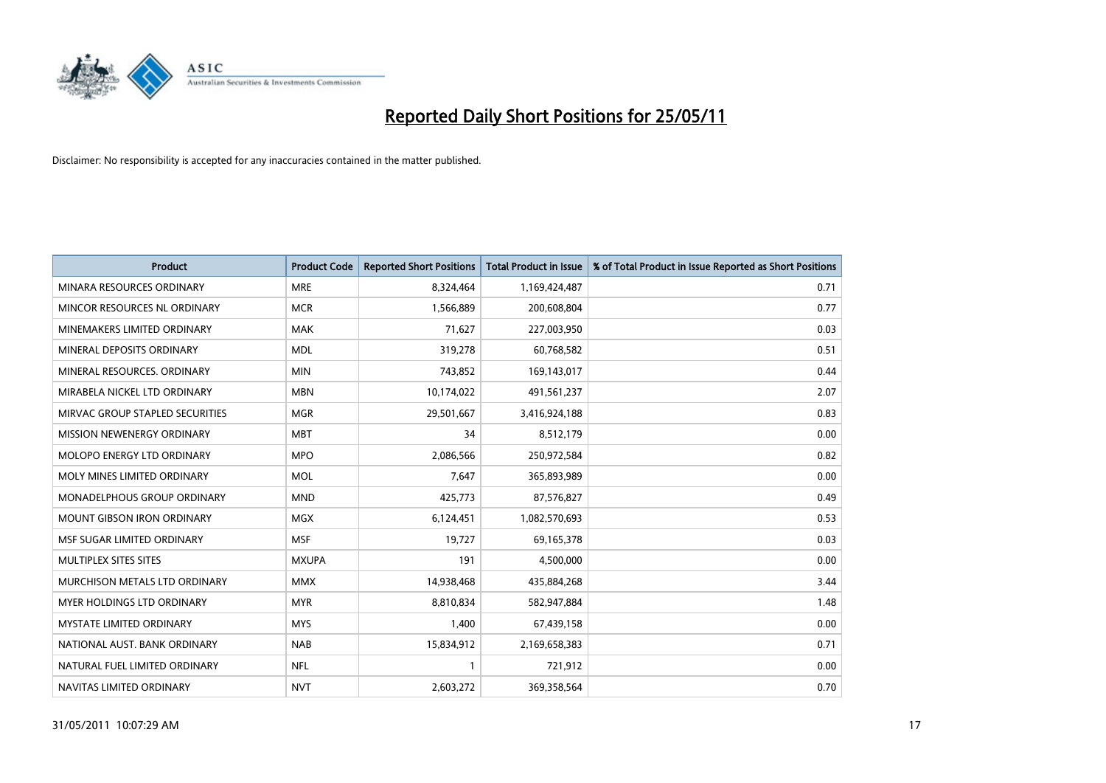

| <b>Product</b>                    | <b>Product Code</b> | <b>Reported Short Positions</b> | <b>Total Product in Issue</b> | % of Total Product in Issue Reported as Short Positions |
|-----------------------------------|---------------------|---------------------------------|-------------------------------|---------------------------------------------------------|
| MINARA RESOURCES ORDINARY         | <b>MRE</b>          | 8,324,464                       | 1,169,424,487                 | 0.71                                                    |
| MINCOR RESOURCES NL ORDINARY      | <b>MCR</b>          | 1,566,889                       | 200,608,804                   | 0.77                                                    |
| MINEMAKERS LIMITED ORDINARY       | <b>MAK</b>          | 71,627                          | 227,003,950                   | 0.03                                                    |
| MINERAL DEPOSITS ORDINARY         | <b>MDL</b>          | 319,278                         | 60,768,582                    | 0.51                                                    |
| MINERAL RESOURCES, ORDINARY       | <b>MIN</b>          | 743,852                         | 169,143,017                   | 0.44                                                    |
| MIRABELA NICKEL LTD ORDINARY      | <b>MBN</b>          | 10,174,022                      | 491,561,237                   | 2.07                                                    |
| MIRVAC GROUP STAPLED SECURITIES   | <b>MGR</b>          | 29,501,667                      | 3,416,924,188                 | 0.83                                                    |
| MISSION NEWENERGY ORDINARY        | <b>MBT</b>          | 34                              | 8,512,179                     | 0.00                                                    |
| MOLOPO ENERGY LTD ORDINARY        | <b>MPO</b>          | 2,086,566                       | 250,972,584                   | 0.82                                                    |
| MOLY MINES LIMITED ORDINARY       | <b>MOL</b>          | 7.647                           | 365,893,989                   | 0.00                                                    |
| MONADELPHOUS GROUP ORDINARY       | <b>MND</b>          | 425,773                         | 87,576,827                    | 0.49                                                    |
| <b>MOUNT GIBSON IRON ORDINARY</b> | <b>MGX</b>          | 6,124,451                       | 1,082,570,693                 | 0.53                                                    |
| MSF SUGAR LIMITED ORDINARY        | <b>MSF</b>          | 19.727                          | 69,165,378                    | 0.03                                                    |
| MULTIPLEX SITES SITES             | <b>MXUPA</b>        | 191                             | 4,500,000                     | 0.00                                                    |
| MURCHISON METALS LTD ORDINARY     | <b>MMX</b>          | 14,938,468                      | 435,884,268                   | 3.44                                                    |
| MYER HOLDINGS LTD ORDINARY        | <b>MYR</b>          | 8,810,834                       | 582,947,884                   | 1.48                                                    |
| <b>MYSTATE LIMITED ORDINARY</b>   | <b>MYS</b>          | 1,400                           | 67,439,158                    | 0.00                                                    |
| NATIONAL AUST, BANK ORDINARY      | <b>NAB</b>          | 15,834,912                      | 2,169,658,383                 | 0.71                                                    |
| NATURAL FUEL LIMITED ORDINARY     | <b>NFL</b>          | $\mathbf{1}$                    | 721,912                       | 0.00                                                    |
| NAVITAS LIMITED ORDINARY          | <b>NVT</b>          | 2,603,272                       | 369,358,564                   | 0.70                                                    |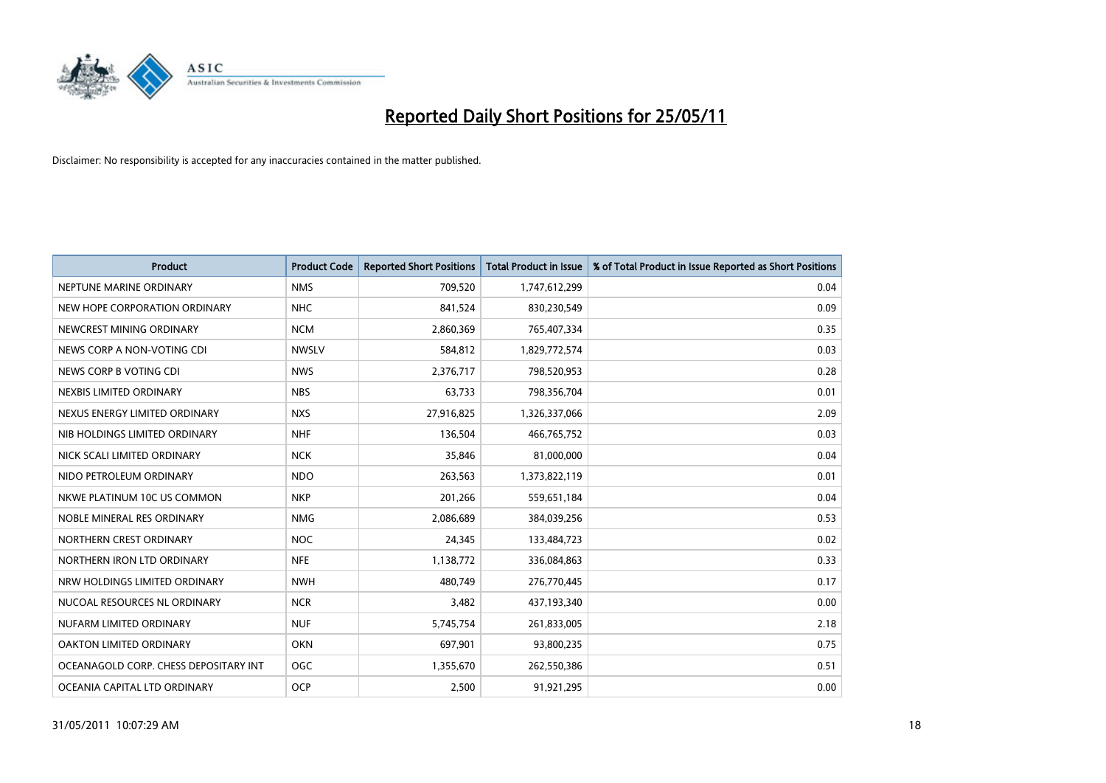

| <b>Product</b>                        | <b>Product Code</b> | <b>Reported Short Positions</b> | <b>Total Product in Issue</b> | % of Total Product in Issue Reported as Short Positions |
|---------------------------------------|---------------------|---------------------------------|-------------------------------|---------------------------------------------------------|
| NEPTUNE MARINE ORDINARY               | <b>NMS</b>          | 709,520                         | 1,747,612,299                 | 0.04                                                    |
| NEW HOPE CORPORATION ORDINARY         | <b>NHC</b>          | 841,524                         | 830,230,549                   | 0.09                                                    |
| NEWCREST MINING ORDINARY              | <b>NCM</b>          | 2,860,369                       | 765,407,334                   | 0.35                                                    |
| NEWS CORP A NON-VOTING CDI            | <b>NWSLV</b>        | 584,812                         | 1,829,772,574                 | 0.03                                                    |
| NEWS CORP B VOTING CDI                | <b>NWS</b>          | 2,376,717                       | 798,520,953                   | 0.28                                                    |
| NEXBIS LIMITED ORDINARY               | <b>NBS</b>          | 63,733                          | 798,356,704                   | 0.01                                                    |
| NEXUS ENERGY LIMITED ORDINARY         | <b>NXS</b>          | 27,916,825                      | 1,326,337,066                 | 2.09                                                    |
| NIB HOLDINGS LIMITED ORDINARY         | <b>NHF</b>          | 136,504                         | 466,765,752                   | 0.03                                                    |
| NICK SCALI LIMITED ORDINARY           | <b>NCK</b>          | 35,846                          | 81,000,000                    | 0.04                                                    |
| NIDO PETROLEUM ORDINARY               | <b>NDO</b>          | 263,563                         | 1,373,822,119                 | 0.01                                                    |
| NKWE PLATINUM 10C US COMMON           | <b>NKP</b>          | 201,266                         | 559,651,184                   | 0.04                                                    |
| NOBLE MINERAL RES ORDINARY            | <b>NMG</b>          | 2,086,689                       | 384,039,256                   | 0.53                                                    |
| NORTHERN CREST ORDINARY               | <b>NOC</b>          | 24,345                          | 133,484,723                   | 0.02                                                    |
| NORTHERN IRON LTD ORDINARY            | <b>NFE</b>          | 1,138,772                       | 336,084,863                   | 0.33                                                    |
| NRW HOLDINGS LIMITED ORDINARY         | <b>NWH</b>          | 480,749                         | 276,770,445                   | 0.17                                                    |
| NUCOAL RESOURCES NL ORDINARY          | <b>NCR</b>          | 3,482                           | 437,193,340                   | 0.00                                                    |
| NUFARM LIMITED ORDINARY               | <b>NUF</b>          | 5,745,754                       | 261,833,005                   | 2.18                                                    |
| OAKTON LIMITED ORDINARY               | <b>OKN</b>          | 697,901                         | 93,800,235                    | 0.75                                                    |
| OCEANAGOLD CORP. CHESS DEPOSITARY INT | <b>OGC</b>          | 1,355,670                       | 262,550,386                   | 0.51                                                    |
| OCEANIA CAPITAL LTD ORDINARY          | <b>OCP</b>          | 2,500                           | 91,921,295                    | 0.00                                                    |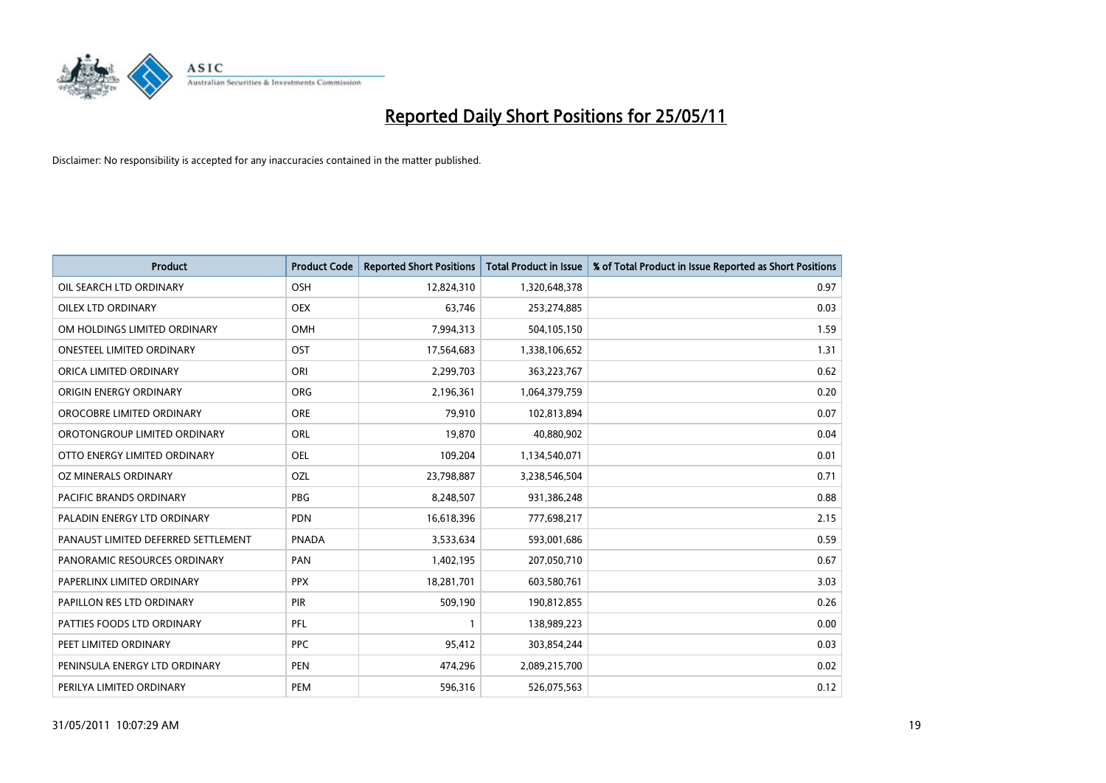

| <b>Product</b>                      | <b>Product Code</b> | <b>Reported Short Positions</b> | Total Product in Issue | % of Total Product in Issue Reported as Short Positions |
|-------------------------------------|---------------------|---------------------------------|------------------------|---------------------------------------------------------|
| OIL SEARCH LTD ORDINARY             | OSH                 | 12,824,310                      | 1,320,648,378          | 0.97                                                    |
| OILEX LTD ORDINARY                  | OEX                 | 63,746                          | 253,274,885            | 0.03                                                    |
| OM HOLDINGS LIMITED ORDINARY        | <b>OMH</b>          | 7,994,313                       | 504,105,150            | 1.59                                                    |
| ONESTEEL LIMITED ORDINARY           | OST                 | 17,564,683                      | 1,338,106,652          | 1.31                                                    |
| ORICA LIMITED ORDINARY              | ORI                 | 2,299,703                       | 363,223,767            | 0.62                                                    |
| ORIGIN ENERGY ORDINARY              | <b>ORG</b>          | 2,196,361                       | 1,064,379,759          | 0.20                                                    |
| OROCOBRE LIMITED ORDINARY           | <b>ORE</b>          | 79,910                          | 102,813,894            | 0.07                                                    |
| OROTONGROUP LIMITED ORDINARY        | ORL                 | 19,870                          | 40,880,902             | 0.04                                                    |
| OTTO ENERGY LIMITED ORDINARY        | OEL                 | 109,204                         | 1,134,540,071          | 0.01                                                    |
| OZ MINERALS ORDINARY                | OZL                 | 23,798,887                      | 3,238,546,504          | 0.71                                                    |
| <b>PACIFIC BRANDS ORDINARY</b>      | <b>PBG</b>          | 8,248,507                       | 931,386,248            | 0.88                                                    |
| PALADIN ENERGY LTD ORDINARY         | PDN                 | 16,618,396                      | 777,698,217            | 2.15                                                    |
| PANAUST LIMITED DEFERRED SETTLEMENT | <b>PNADA</b>        | 3,533,634                       | 593,001,686            | 0.59                                                    |
| PANORAMIC RESOURCES ORDINARY        | PAN                 | 1,402,195                       | 207,050,710            | 0.67                                                    |
| PAPERLINX LIMITED ORDINARY          | <b>PPX</b>          | 18,281,701                      | 603,580,761            | 3.03                                                    |
| PAPILLON RES LTD ORDINARY           | <b>PIR</b>          | 509,190                         | 190,812,855            | 0.26                                                    |
| PATTIES FOODS LTD ORDINARY          | PFL                 |                                 | 138,989,223            | 0.00                                                    |
| PEET LIMITED ORDINARY               | <b>PPC</b>          | 95,412                          | 303,854,244            | 0.03                                                    |
| PENINSULA ENERGY LTD ORDINARY       | <b>PEN</b>          | 474,296                         | 2,089,215,700          | 0.02                                                    |
| PERILYA LIMITED ORDINARY            | PEM                 | 596,316                         | 526,075,563            | 0.12                                                    |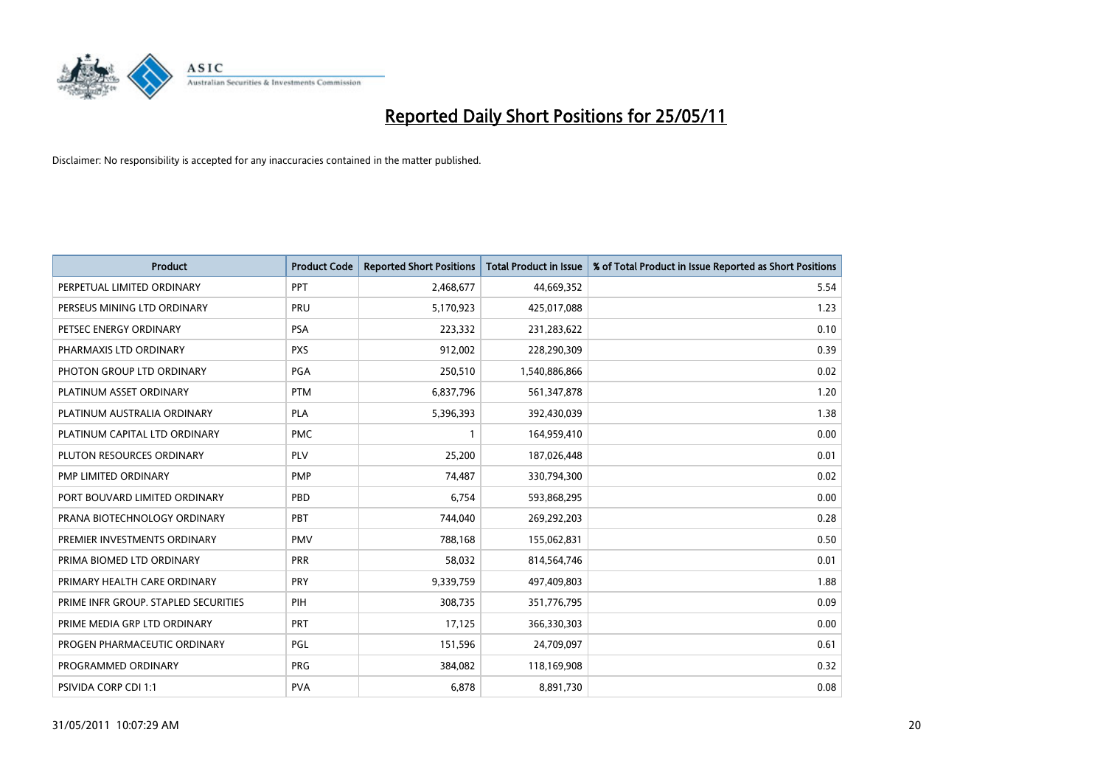

| <b>Product</b>                       | <b>Product Code</b> | <b>Reported Short Positions</b> | <b>Total Product in Issue</b> | % of Total Product in Issue Reported as Short Positions |
|--------------------------------------|---------------------|---------------------------------|-------------------------------|---------------------------------------------------------|
| PERPETUAL LIMITED ORDINARY           | PPT                 | 2,468,677                       | 44,669,352                    | 5.54                                                    |
| PERSEUS MINING LTD ORDINARY          | PRU                 | 5,170,923                       | 425,017,088                   | 1.23                                                    |
| PETSEC ENERGY ORDINARY               | <b>PSA</b>          | 223,332                         | 231,283,622                   | 0.10                                                    |
| PHARMAXIS LTD ORDINARY               | <b>PXS</b>          | 912,002                         | 228,290,309                   | 0.39                                                    |
| PHOTON GROUP LTD ORDINARY            | PGA                 | 250,510                         | 1,540,886,866                 | 0.02                                                    |
| PLATINUM ASSET ORDINARY              | <b>PTM</b>          | 6,837,796                       | 561,347,878                   | 1.20                                                    |
| PLATINUM AUSTRALIA ORDINARY          | PLA                 | 5,396,393                       | 392,430,039                   | 1.38                                                    |
| PLATINUM CAPITAL LTD ORDINARY        | <b>PMC</b>          |                                 | 164,959,410                   | 0.00                                                    |
| PLUTON RESOURCES ORDINARY            | <b>PLV</b>          | 25,200                          | 187,026,448                   | 0.01                                                    |
| PMP LIMITED ORDINARY                 | <b>PMP</b>          | 74,487                          | 330,794,300                   | 0.02                                                    |
| PORT BOUVARD LIMITED ORDINARY        | PBD                 | 6,754                           | 593,868,295                   | 0.00                                                    |
| PRANA BIOTECHNOLOGY ORDINARY         | PBT                 | 744,040                         | 269,292,203                   | 0.28                                                    |
| PREMIER INVESTMENTS ORDINARY         | <b>PMV</b>          | 788,168                         | 155,062,831                   | 0.50                                                    |
| PRIMA BIOMED LTD ORDINARY            | <b>PRR</b>          | 58,032                          | 814,564,746                   | 0.01                                                    |
| PRIMARY HEALTH CARE ORDINARY         | <b>PRY</b>          | 9,339,759                       | 497,409,803                   | 1.88                                                    |
| PRIME INFR GROUP. STAPLED SECURITIES | PIH                 | 308,735                         | 351,776,795                   | 0.09                                                    |
| PRIME MEDIA GRP LTD ORDINARY         | <b>PRT</b>          | 17,125                          | 366,330,303                   | 0.00                                                    |
| PROGEN PHARMACEUTIC ORDINARY         | PGL                 | 151,596                         | 24,709,097                    | 0.61                                                    |
| PROGRAMMED ORDINARY                  | <b>PRG</b>          | 384,082                         | 118,169,908                   | 0.32                                                    |
| PSIVIDA CORP CDI 1:1                 | <b>PVA</b>          | 6,878                           | 8,891,730                     | 0.08                                                    |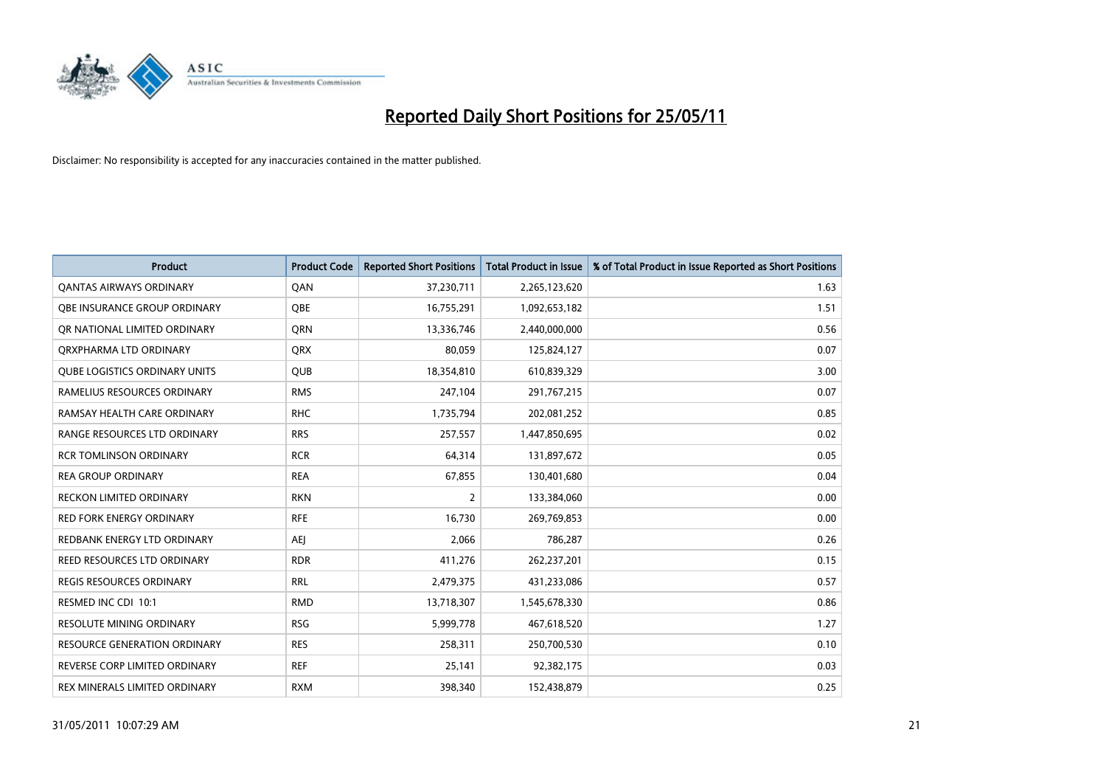

| <b>Product</b>                       | <b>Product Code</b> | <b>Reported Short Positions</b> | Total Product in Issue | % of Total Product in Issue Reported as Short Positions |
|--------------------------------------|---------------------|---------------------------------|------------------------|---------------------------------------------------------|
| <b>QANTAS AIRWAYS ORDINARY</b>       | QAN                 | 37,230,711                      | 2,265,123,620          | 1.63                                                    |
| <b>OBE INSURANCE GROUP ORDINARY</b>  | OBE                 | 16,755,291                      | 1,092,653,182          | 1.51                                                    |
| OR NATIONAL LIMITED ORDINARY         | <b>ORN</b>          | 13,336,746                      | 2,440,000,000          | 0.56                                                    |
| ORXPHARMA LTD ORDINARY               | <b>ORX</b>          | 80,059                          | 125,824,127            | 0.07                                                    |
| <b>QUBE LOGISTICS ORDINARY UNITS</b> | <b>QUB</b>          | 18,354,810                      | 610,839,329            | 3.00                                                    |
| RAMELIUS RESOURCES ORDINARY          | <b>RMS</b>          | 247,104                         | 291,767,215            | 0.07                                                    |
| RAMSAY HEALTH CARE ORDINARY          | <b>RHC</b>          | 1,735,794                       | 202,081,252            | 0.85                                                    |
| RANGE RESOURCES LTD ORDINARY         | <b>RRS</b>          | 257,557                         | 1,447,850,695          | 0.02                                                    |
| <b>RCR TOMLINSON ORDINARY</b>        | <b>RCR</b>          | 64,314                          | 131,897,672            | 0.05                                                    |
| <b>REA GROUP ORDINARY</b>            | <b>REA</b>          | 67,855                          | 130,401,680            | 0.04                                                    |
| RECKON LIMITED ORDINARY              | <b>RKN</b>          | $\overline{2}$                  | 133,384,060            | 0.00                                                    |
| <b>RED FORK ENERGY ORDINARY</b>      | <b>RFE</b>          | 16,730                          | 269,769,853            | 0.00                                                    |
| REDBANK ENERGY LTD ORDINARY          | <b>AEI</b>          | 2,066                           | 786,287                | 0.26                                                    |
| <b>REED RESOURCES LTD ORDINARY</b>   | <b>RDR</b>          | 411,276                         | 262,237,201            | 0.15                                                    |
| <b>REGIS RESOURCES ORDINARY</b>      | <b>RRL</b>          | 2,479,375                       | 431,233,086            | 0.57                                                    |
| RESMED INC CDI 10:1                  | <b>RMD</b>          | 13,718,307                      | 1,545,678,330          | 0.86                                                    |
| <b>RESOLUTE MINING ORDINARY</b>      | <b>RSG</b>          | 5,999,778                       | 467,618,520            | 1.27                                                    |
| RESOURCE GENERATION ORDINARY         | <b>RES</b>          | 258,311                         | 250,700,530            | 0.10                                                    |
| REVERSE CORP LIMITED ORDINARY        | <b>REF</b>          | 25,141                          | 92,382,175             | 0.03                                                    |
| REX MINERALS LIMITED ORDINARY        | <b>RXM</b>          | 398,340                         | 152,438,879            | 0.25                                                    |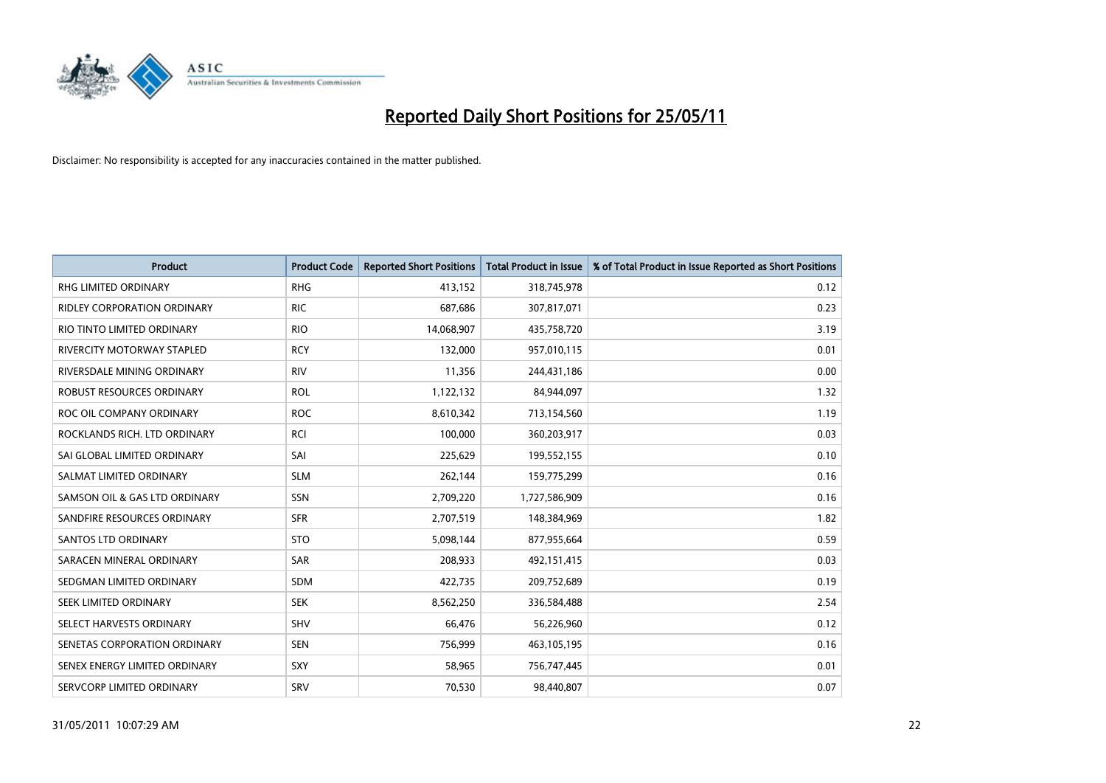

| <b>Product</b>                   | <b>Product Code</b> | <b>Reported Short Positions</b> | Total Product in Issue | % of Total Product in Issue Reported as Short Positions |
|----------------------------------|---------------------|---------------------------------|------------------------|---------------------------------------------------------|
| <b>RHG LIMITED ORDINARY</b>      | <b>RHG</b>          | 413,152                         | 318,745,978            | 0.12                                                    |
| RIDLEY CORPORATION ORDINARY      | <b>RIC</b>          | 687,686                         | 307,817,071            | 0.23                                                    |
| RIO TINTO LIMITED ORDINARY       | <b>RIO</b>          | 14,068,907                      | 435,758,720            | 3.19                                                    |
| RIVERCITY MOTORWAY STAPLED       | <b>RCY</b>          | 132,000                         | 957,010,115            | 0.01                                                    |
| RIVERSDALE MINING ORDINARY       | <b>RIV</b>          | 11,356                          | 244,431,186            | 0.00                                                    |
| <b>ROBUST RESOURCES ORDINARY</b> | <b>ROL</b>          | 1,122,132                       | 84,944,097             | 1.32                                                    |
| ROC OIL COMPANY ORDINARY         | <b>ROC</b>          | 8,610,342                       | 713,154,560            | 1.19                                                    |
| ROCKLANDS RICH. LTD ORDINARY     | <b>RCI</b>          | 100,000                         | 360,203,917            | 0.03                                                    |
| SAI GLOBAL LIMITED ORDINARY      | SAI                 | 225,629                         | 199,552,155            | 0.10                                                    |
| SALMAT LIMITED ORDINARY          | <b>SLM</b>          | 262,144                         | 159,775,299            | 0.16                                                    |
| SAMSON OIL & GAS LTD ORDINARY    | SSN                 | 2,709,220                       | 1,727,586,909          | 0.16                                                    |
| SANDFIRE RESOURCES ORDINARY      | <b>SFR</b>          | 2,707,519                       | 148,384,969            | 1.82                                                    |
| <b>SANTOS LTD ORDINARY</b>       | <b>STO</b>          | 5,098,144                       | 877,955,664            | 0.59                                                    |
| SARACEN MINERAL ORDINARY         | SAR                 | 208,933                         | 492,151,415            | 0.03                                                    |
| SEDGMAN LIMITED ORDINARY         | <b>SDM</b>          | 422,735                         | 209,752,689            | 0.19                                                    |
| SEEK LIMITED ORDINARY            | <b>SEK</b>          | 8,562,250                       | 336,584,488            | 2.54                                                    |
| SELECT HARVESTS ORDINARY         | SHV                 | 66,476                          | 56,226,960             | 0.12                                                    |
| SENETAS CORPORATION ORDINARY     | <b>SEN</b>          | 756,999                         | 463,105,195            | 0.16                                                    |
| SENEX ENERGY LIMITED ORDINARY    | SXY                 | 58,965                          | 756,747,445            | 0.01                                                    |
| SERVCORP LIMITED ORDINARY        | SRV                 | 70,530                          | 98,440,807             | 0.07                                                    |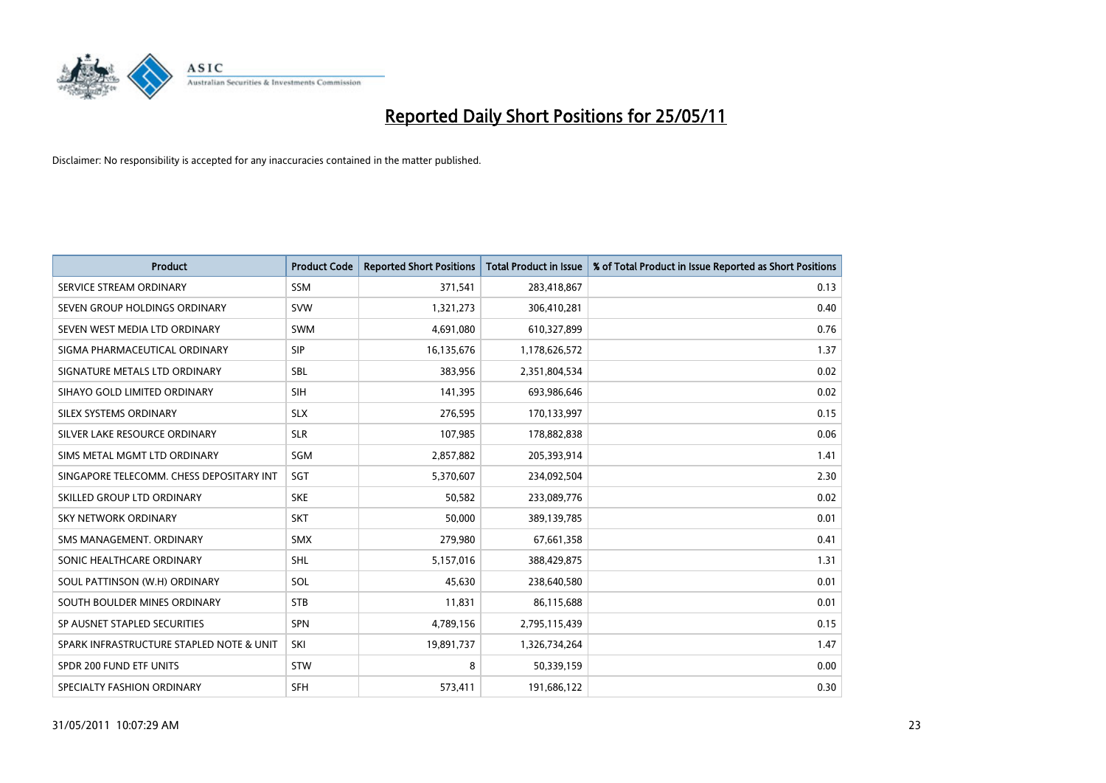

| <b>Product</b>                           | <b>Product Code</b> | <b>Reported Short Positions</b> | <b>Total Product in Issue</b> | % of Total Product in Issue Reported as Short Positions |
|------------------------------------------|---------------------|---------------------------------|-------------------------------|---------------------------------------------------------|
| SERVICE STREAM ORDINARY                  | <b>SSM</b>          | 371,541                         | 283,418,867                   | 0.13                                                    |
| SEVEN GROUP HOLDINGS ORDINARY            | <b>SVW</b>          | 1,321,273                       | 306,410,281                   | 0.40                                                    |
| SEVEN WEST MEDIA LTD ORDINARY            | <b>SWM</b>          | 4,691,080                       | 610,327,899                   | 0.76                                                    |
| SIGMA PHARMACEUTICAL ORDINARY            | SIP                 | 16,135,676                      | 1,178,626,572                 | 1.37                                                    |
| SIGNATURE METALS LTD ORDINARY            | <b>SBL</b>          | 383.956                         | 2,351,804,534                 | 0.02                                                    |
| SIHAYO GOLD LIMITED ORDINARY             | <b>SIH</b>          | 141,395                         | 693,986,646                   | 0.02                                                    |
| SILEX SYSTEMS ORDINARY                   | <b>SLX</b>          | 276,595                         | 170,133,997                   | 0.15                                                    |
| SILVER LAKE RESOURCE ORDINARY            | <b>SLR</b>          | 107,985                         | 178,882,838                   | 0.06                                                    |
| SIMS METAL MGMT LTD ORDINARY             | SGM                 | 2,857,882                       | 205,393,914                   | 1.41                                                    |
| SINGAPORE TELECOMM. CHESS DEPOSITARY INT | SGT                 | 5,370,607                       | 234,092,504                   | 2.30                                                    |
| SKILLED GROUP LTD ORDINARY               | <b>SKE</b>          | 50,582                          | 233,089,776                   | 0.02                                                    |
| <b>SKY NETWORK ORDINARY</b>              | <b>SKT</b>          | 50,000                          | 389,139,785                   | 0.01                                                    |
| SMS MANAGEMENT, ORDINARY                 | <b>SMX</b>          | 279,980                         | 67,661,358                    | 0.41                                                    |
| SONIC HEALTHCARE ORDINARY                | <b>SHL</b>          | 5,157,016                       | 388,429,875                   | 1.31                                                    |
| SOUL PATTINSON (W.H) ORDINARY            | SOL                 | 45,630                          | 238,640,580                   | 0.01                                                    |
| SOUTH BOULDER MINES ORDINARY             | <b>STB</b>          | 11,831                          | 86,115,688                    | 0.01                                                    |
| SP AUSNET STAPLED SECURITIES             | SPN                 | 4,789,156                       | 2,795,115,439                 | 0.15                                                    |
| SPARK INFRASTRUCTURE STAPLED NOTE & UNIT | SKI                 | 19,891,737                      | 1,326,734,264                 | 1.47                                                    |
| SPDR 200 FUND ETF UNITS                  | <b>STW</b>          | 8                               | 50,339,159                    | 0.00                                                    |
| SPECIALTY FASHION ORDINARY               | <b>SFH</b>          | 573,411                         | 191,686,122                   | 0.30                                                    |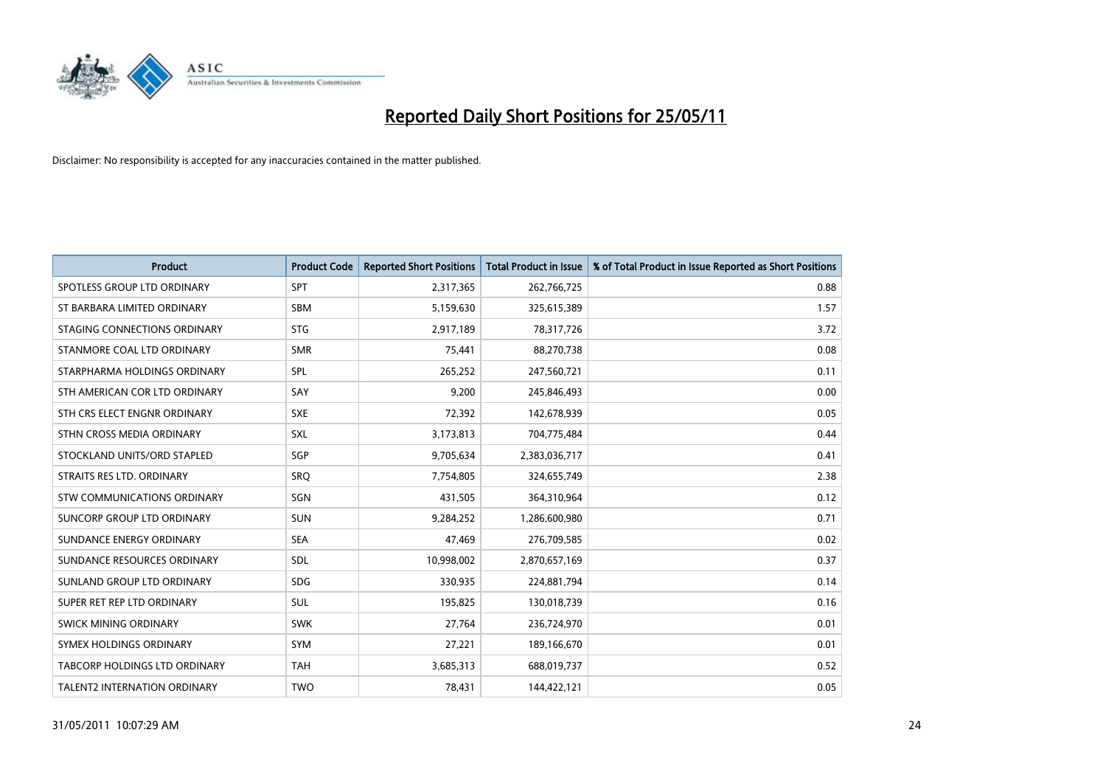

| <b>Product</b>                     | <b>Product Code</b> | <b>Reported Short Positions</b> | Total Product in Issue | % of Total Product in Issue Reported as Short Positions |
|------------------------------------|---------------------|---------------------------------|------------------------|---------------------------------------------------------|
| SPOTLESS GROUP LTD ORDINARY        | SPT                 | 2,317,365                       | 262,766,725            | 0.88                                                    |
| ST BARBARA LIMITED ORDINARY        | <b>SBM</b>          | 5,159,630                       | 325,615,389            | 1.57                                                    |
| STAGING CONNECTIONS ORDINARY       | <b>STG</b>          | 2,917,189                       | 78,317,726             | 3.72                                                    |
| STANMORE COAL LTD ORDINARY         | <b>SMR</b>          | 75,441                          | 88,270,738             | 0.08                                                    |
| STARPHARMA HOLDINGS ORDINARY       | SPL                 | 265,252                         | 247,560,721            | 0.11                                                    |
| STH AMERICAN COR LTD ORDINARY      | SAY                 | 9,200                           | 245,846,493            | 0.00                                                    |
| STH CRS ELECT ENGNR ORDINARY       | <b>SXE</b>          | 72,392                          | 142,678,939            | 0.05                                                    |
| STHN CROSS MEDIA ORDINARY          | SXL                 | 3,173,813                       | 704,775,484            | 0.44                                                    |
| STOCKLAND UNITS/ORD STAPLED        | SGP                 | 9,705,634                       | 2,383,036,717          | 0.41                                                    |
| STRAITS RES LTD. ORDINARY          | SRO                 | 7,754,805                       | 324,655,749            | 2.38                                                    |
| <b>STW COMMUNICATIONS ORDINARY</b> | SGN                 | 431,505                         | 364,310,964            | 0.12                                                    |
| SUNCORP GROUP LTD ORDINARY         | <b>SUN</b>          | 9,284,252                       | 1,286,600,980          | 0.71                                                    |
| SUNDANCE ENERGY ORDINARY           | <b>SEA</b>          | 47,469                          | 276,709,585            | 0.02                                                    |
| SUNDANCE RESOURCES ORDINARY        | <b>SDL</b>          | 10,998,002                      | 2,870,657,169          | 0.37                                                    |
| SUNLAND GROUP LTD ORDINARY         | <b>SDG</b>          | 330,935                         | 224,881,794            | 0.14                                                    |
| SUPER RET REP LTD ORDINARY         | SUL                 | 195,825                         | 130,018,739            | 0.16                                                    |
| SWICK MINING ORDINARY              | <b>SWK</b>          | 27,764                          | 236,724,970            | 0.01                                                    |
| SYMEX HOLDINGS ORDINARY            | <b>SYM</b>          | 27,221                          | 189,166,670            | 0.01                                                    |
| TABCORP HOLDINGS LTD ORDINARY      | <b>TAH</b>          | 3,685,313                       | 688,019,737            | 0.52                                                    |
| TALENT2 INTERNATION ORDINARY       | <b>TWO</b>          | 78,431                          | 144,422,121            | 0.05                                                    |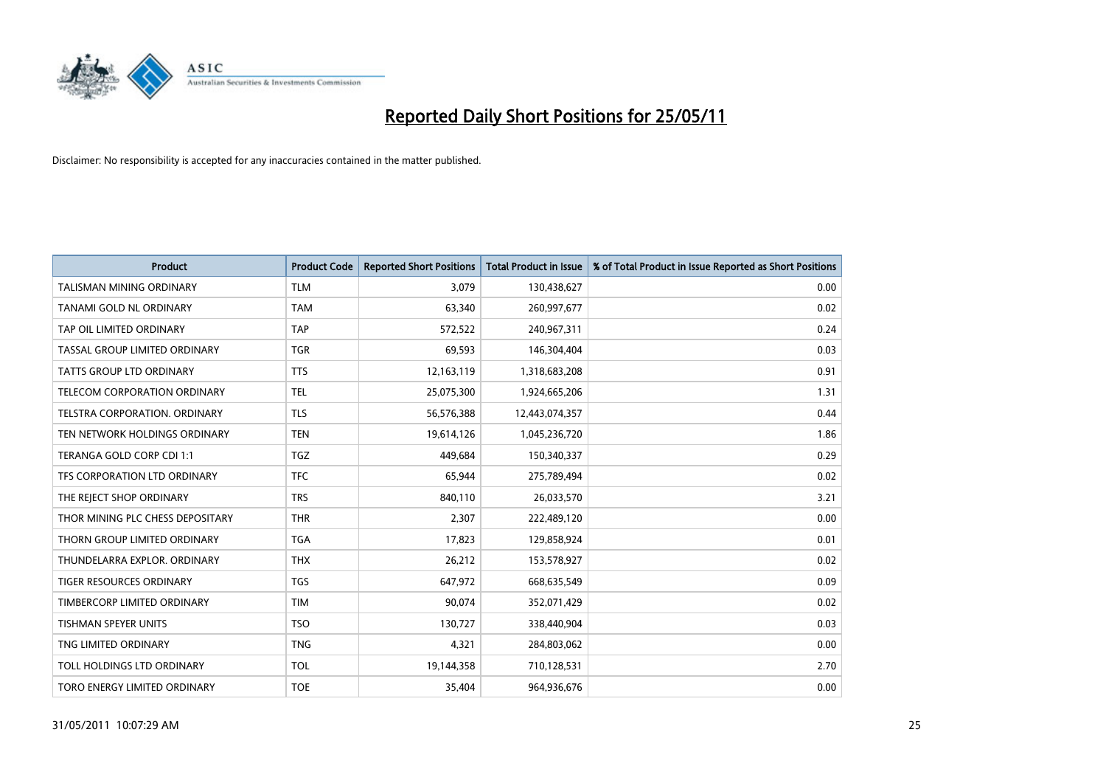

| <b>Product</b>                      | <b>Product Code</b> | <b>Reported Short Positions</b> | Total Product in Issue | % of Total Product in Issue Reported as Short Positions |
|-------------------------------------|---------------------|---------------------------------|------------------------|---------------------------------------------------------|
| <b>TALISMAN MINING ORDINARY</b>     | <b>TLM</b>          | 3,079                           | 130,438,627            | 0.00                                                    |
| TANAMI GOLD NL ORDINARY             | <b>TAM</b>          | 63,340                          | 260,997,677            | 0.02                                                    |
| TAP OIL LIMITED ORDINARY            | <b>TAP</b>          | 572,522                         | 240,967,311            | 0.24                                                    |
| TASSAL GROUP LIMITED ORDINARY       | <b>TGR</b>          | 69,593                          | 146,304,404            | 0.03                                                    |
| <b>TATTS GROUP LTD ORDINARY</b>     | <b>TTS</b>          | 12,163,119                      | 1,318,683,208          | 0.91                                                    |
| <b>TELECOM CORPORATION ORDINARY</b> | <b>TEL</b>          | 25,075,300                      | 1,924,665,206          | 1.31                                                    |
| TELSTRA CORPORATION, ORDINARY       | <b>TLS</b>          | 56,576,388                      | 12,443,074,357         | 0.44                                                    |
| TEN NETWORK HOLDINGS ORDINARY       | <b>TEN</b>          | 19,614,126                      | 1,045,236,720          | 1.86                                                    |
| TERANGA GOLD CORP CDI 1:1           | <b>TGZ</b>          | 449.684                         | 150,340,337            | 0.29                                                    |
| TFS CORPORATION LTD ORDINARY        | <b>TFC</b>          | 65,944                          | 275,789,494            | 0.02                                                    |
| THE REJECT SHOP ORDINARY            | <b>TRS</b>          | 840,110                         | 26,033,570             | 3.21                                                    |
| THOR MINING PLC CHESS DEPOSITARY    | <b>THR</b>          | 2,307                           | 222,489,120            | 0.00                                                    |
| THORN GROUP LIMITED ORDINARY        | <b>TGA</b>          | 17,823                          | 129,858,924            | 0.01                                                    |
| THUNDELARRA EXPLOR. ORDINARY        | <b>THX</b>          | 26,212                          | 153,578,927            | 0.02                                                    |
| <b>TIGER RESOURCES ORDINARY</b>     | <b>TGS</b>          | 647,972                         | 668,635,549            | 0.09                                                    |
| TIMBERCORP LIMITED ORDINARY         | <b>TIM</b>          | 90,074                          | 352,071,429            | 0.02                                                    |
| TISHMAN SPEYER UNITS                | <b>TSO</b>          | 130,727                         | 338,440,904            | 0.03                                                    |
| TNG LIMITED ORDINARY                | <b>TNG</b>          | 4,321                           | 284,803,062            | 0.00                                                    |
| <b>TOLL HOLDINGS LTD ORDINARY</b>   | <b>TOL</b>          | 19,144,358                      | 710,128,531            | 2.70                                                    |
| TORO ENERGY LIMITED ORDINARY        | <b>TOE</b>          | 35,404                          | 964,936,676            | 0.00                                                    |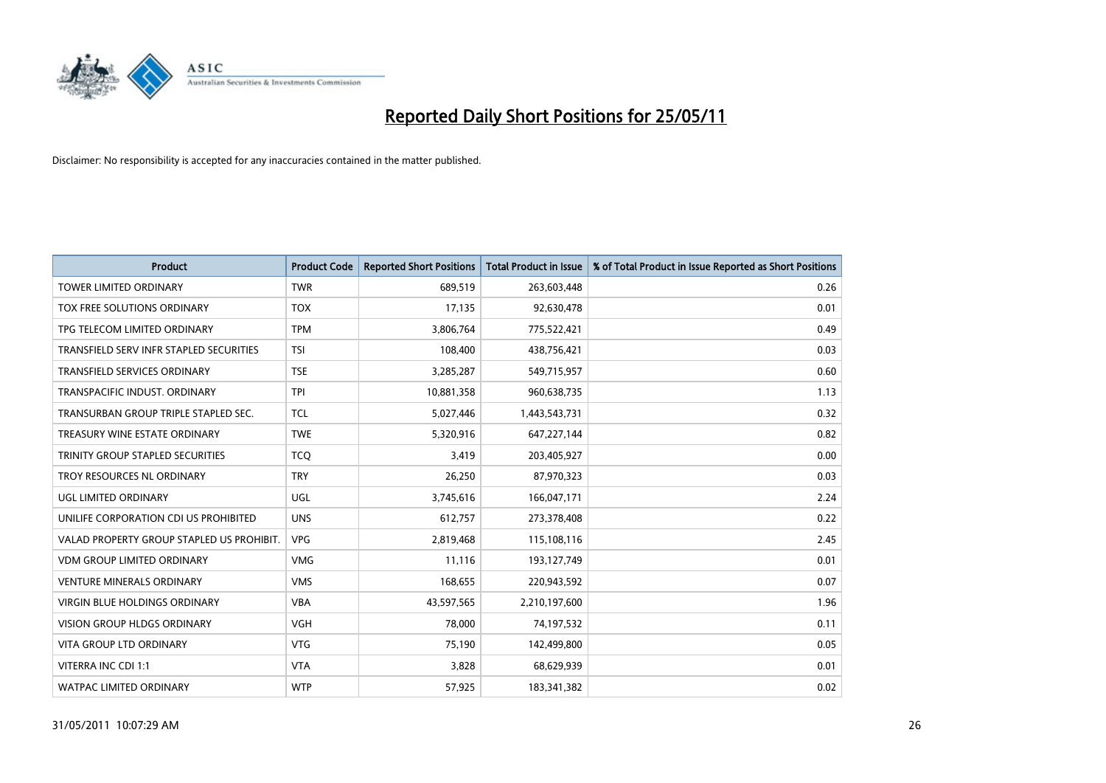

| <b>Product</b>                            | <b>Product Code</b> | <b>Reported Short Positions</b> | Total Product in Issue | % of Total Product in Issue Reported as Short Positions |
|-------------------------------------------|---------------------|---------------------------------|------------------------|---------------------------------------------------------|
| <b>TOWER LIMITED ORDINARY</b>             | <b>TWR</b>          | 689,519                         | 263,603,448            | 0.26                                                    |
| TOX FREE SOLUTIONS ORDINARY               | <b>TOX</b>          | 17,135                          | 92,630,478             | 0.01                                                    |
| TPG TELECOM LIMITED ORDINARY              | <b>TPM</b>          | 3,806,764                       | 775,522,421            | 0.49                                                    |
| TRANSFIELD SERV INFR STAPLED SECURITIES   | <b>TSI</b>          | 108,400                         | 438,756,421            | 0.03                                                    |
| <b>TRANSFIELD SERVICES ORDINARY</b>       | <b>TSE</b>          | 3,285,287                       | 549,715,957            | 0.60                                                    |
| TRANSPACIFIC INDUST, ORDINARY             | <b>TPI</b>          | 10,881,358                      | 960,638,735            | 1.13                                                    |
| TRANSURBAN GROUP TRIPLE STAPLED SEC.      | <b>TCL</b>          | 5,027,446                       | 1,443,543,731          | 0.32                                                    |
| TREASURY WINE ESTATE ORDINARY             | <b>TWE</b>          | 5,320,916                       | 647,227,144            | 0.82                                                    |
| TRINITY GROUP STAPLED SECURITIES          | <b>TCO</b>          | 3,419                           | 203,405,927            | 0.00                                                    |
| TROY RESOURCES NL ORDINARY                | <b>TRY</b>          | 26,250                          | 87,970,323             | 0.03                                                    |
| UGL LIMITED ORDINARY                      | UGL                 | 3,745,616                       | 166,047,171            | 2.24                                                    |
| UNILIFE CORPORATION CDI US PROHIBITED     | <b>UNS</b>          | 612,757                         | 273,378,408            | 0.22                                                    |
| VALAD PROPERTY GROUP STAPLED US PROHIBIT. | <b>VPG</b>          | 2,819,468                       | 115,108,116            | 2.45                                                    |
| <b>VDM GROUP LIMITED ORDINARY</b>         | <b>VMG</b>          | 11,116                          | 193,127,749            | 0.01                                                    |
| <b>VENTURE MINERALS ORDINARY</b>          | <b>VMS</b>          | 168,655                         | 220,943,592            | 0.07                                                    |
| <b>VIRGIN BLUE HOLDINGS ORDINARY</b>      | <b>VBA</b>          | 43,597,565                      | 2,210,197,600          | 1.96                                                    |
| VISION GROUP HLDGS ORDINARY               | <b>VGH</b>          | 78,000                          | 74,197,532             | 0.11                                                    |
| <b>VITA GROUP LTD ORDINARY</b>            | <b>VTG</b>          | 75,190                          | 142,499,800            | 0.05                                                    |
| VITERRA INC CDI 1:1                       | <b>VTA</b>          | 3,828                           | 68,629,939             | 0.01                                                    |
| <b>WATPAC LIMITED ORDINARY</b>            | <b>WTP</b>          | 57,925                          | 183,341,382            | 0.02                                                    |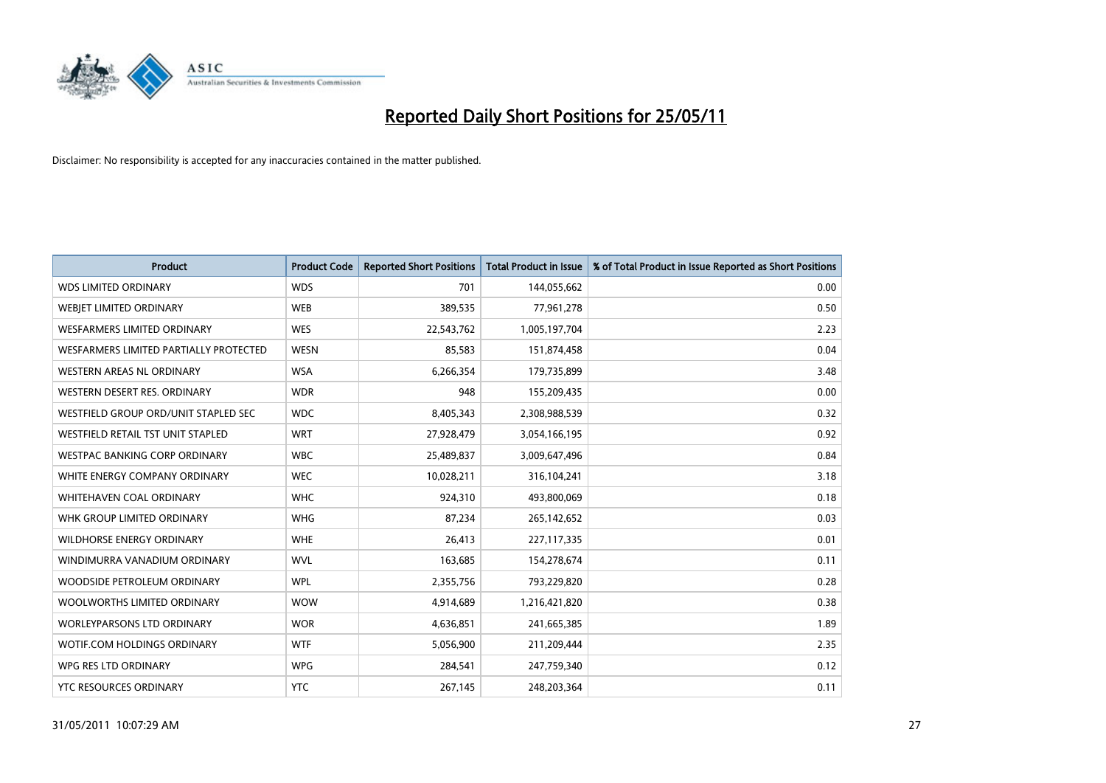

| <b>Product</b>                         | <b>Product Code</b> | <b>Reported Short Positions</b> | Total Product in Issue | % of Total Product in Issue Reported as Short Positions |
|----------------------------------------|---------------------|---------------------------------|------------------------|---------------------------------------------------------|
| <b>WDS LIMITED ORDINARY</b>            | <b>WDS</b>          | 701                             | 144,055,662            | 0.00                                                    |
| <b>WEBJET LIMITED ORDINARY</b>         | <b>WEB</b>          | 389,535                         | 77,961,278             | 0.50                                                    |
| WESFARMERS LIMITED ORDINARY            | <b>WES</b>          | 22,543,762                      | 1,005,197,704          | 2.23                                                    |
| WESFARMERS LIMITED PARTIALLY PROTECTED | <b>WESN</b>         | 85,583                          | 151,874,458            | 0.04                                                    |
| <b>WESTERN AREAS NL ORDINARY</b>       | <b>WSA</b>          | 6,266,354                       | 179,735,899            | 3.48                                                    |
| WESTERN DESERT RES. ORDINARY           | <b>WDR</b>          | 948                             | 155,209,435            | 0.00                                                    |
| WESTFIELD GROUP ORD/UNIT STAPLED SEC   | <b>WDC</b>          | 8,405,343                       | 2,308,988,539          | 0.32                                                    |
| WESTFIELD RETAIL TST UNIT STAPLED      | <b>WRT</b>          | 27,928,479                      | 3,054,166,195          | 0.92                                                    |
| <b>WESTPAC BANKING CORP ORDINARY</b>   | <b>WBC</b>          | 25,489,837                      | 3,009,647,496          | 0.84                                                    |
| WHITE ENERGY COMPANY ORDINARY          | <b>WEC</b>          | 10,028,211                      | 316,104,241            | 3.18                                                    |
| WHITEHAVEN COAL ORDINARY               | <b>WHC</b>          | 924,310                         | 493,800,069            | 0.18                                                    |
| WHK GROUP LIMITED ORDINARY             | <b>WHG</b>          | 87,234                          | 265,142,652            | 0.03                                                    |
| WILDHORSE ENERGY ORDINARY              | <b>WHE</b>          | 26,413                          | 227,117,335            | 0.01                                                    |
| WINDIMURRA VANADIUM ORDINARY           | <b>WVL</b>          | 163,685                         | 154,278,674            | 0.11                                                    |
| WOODSIDE PETROLEUM ORDINARY            | <b>WPL</b>          | 2,355,756                       | 793,229,820            | 0.28                                                    |
| WOOLWORTHS LIMITED ORDINARY            | <b>WOW</b>          | 4,914,689                       | 1,216,421,820          | 0.38                                                    |
| <b>WORLEYPARSONS LTD ORDINARY</b>      | <b>WOR</b>          | 4,636,851                       | 241,665,385            | 1.89                                                    |
| WOTIF.COM HOLDINGS ORDINARY            | <b>WTF</b>          | 5,056,900                       | 211,209,444            | 2.35                                                    |
| WPG RES LTD ORDINARY                   | <b>WPG</b>          | 284,541                         | 247,759,340            | 0.12                                                    |
| YTC RESOURCES ORDINARY                 | <b>YTC</b>          | 267,145                         | 248,203,364            | 0.11                                                    |